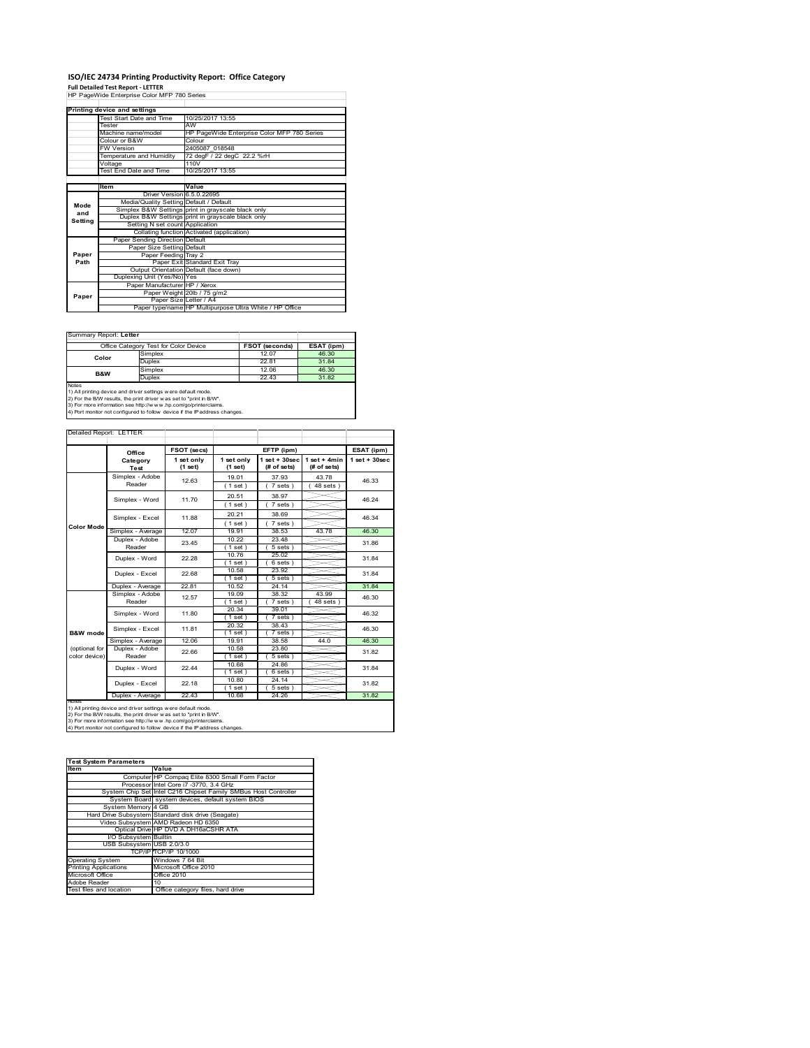# **ISO/IEC 24734 Printing Productivity Report: Office Category Full Detailed Test Report ‐ LETTER** HP PageWide Enterprise Color MFP 780 Series

|         | Printing device and settings            |                                                         |  |  |
|---------|-----------------------------------------|---------------------------------------------------------|--|--|
|         | Test Start Date and Time                | 10/25/2017 13:55                                        |  |  |
|         | Tester                                  | AW                                                      |  |  |
|         | Machine name/model                      | HP PageWide Enterprise Color MFP 780 Series             |  |  |
|         | Colour or B&W                           | Colour                                                  |  |  |
|         | <b>FW Version</b>                       | 2405087 018548                                          |  |  |
|         | Temperature and Humidity                | 72 degF / 22 degC 22.2 %rH                              |  |  |
|         | Voltage                                 | 110V                                                    |  |  |
|         | Test End Date and Time                  | 10/25/2017 13:55                                        |  |  |
|         |                                         |                                                         |  |  |
|         | Item                                    | Value                                                   |  |  |
|         | Driver Version 6.5.0.22695              |                                                         |  |  |
| Mode    | Media/Quality Setting Default / Default |                                                         |  |  |
| and     |                                         | Simplex B&W Settings print in grayscale black only      |  |  |
| Setting |                                         | Duplex B&W Settings print in grayscale black only       |  |  |
|         | Setting N set count Application         |                                                         |  |  |
|         |                                         | Collating function Activated (application)              |  |  |
|         | Paper Sending Direction Default         |                                                         |  |  |
|         | Paper Size Setting Default              |                                                         |  |  |
| Paper   | Paper Feeding Tray 2                    |                                                         |  |  |
| Path    |                                         | Paper Exit Standard Exit Tray                           |  |  |
|         |                                         | Output Orientation Default (face down)                  |  |  |
|         | Duplexing Unit (Yes/No) Yes             |                                                         |  |  |
|         | Paper Manufacturer HP / Xerox           |                                                         |  |  |
| Paper   |                                         | Paper Weight 20lb / 75 g/m2                             |  |  |
|         | Paper Size Letter / A4                  |                                                         |  |  |
|         |                                         | Paper type/name HP Multipurpose Ultra White / HP Office |  |  |

÷,

### Summary Report: **Letter**

| Office Category Test for Color Device |         | <b>FSOT (seconds)</b> | ESAT (ipm) |
|---------------------------------------|---------|-----------------------|------------|
| Color                                 | Simplex | 12.07                 | 46.30      |
|                                       | Duplex  | 22.81                 | 31.84      |
| <b>B&amp;W</b>                        | Simplex | 12.06                 | 46.30      |
|                                       | Duplex  | 22.43                 | 31.82      |
| <b>Notes</b>                          |         |                       |            |

Notes<br>1) All printing device and driver settings were default mode.<br>2) For the B/W results, the print driver was set to "print in B/W".<br>3) For more information see http://www.hp.com/go/printerclaims.<br>4) Por more informatio

Detailed Report: LETTER

|                                                                                                                                                                                                                                                                                                        | Office                    | FSOT (secs)           |                         | EFTP (ipm)                     |                               | ESAT (ipm)         |
|--------------------------------------------------------------------------------------------------------------------------------------------------------------------------------------------------------------------------------------------------------------------------------------------------------|---------------------------|-----------------------|-------------------------|--------------------------------|-------------------------------|--------------------|
|                                                                                                                                                                                                                                                                                                        | Category<br>Test          | 1 set only<br>(1 set) | 1 set only<br>$(1$ set) | $1$ set + 30sec<br>(# of sets) | $1$ set + 4min<br>(# of sets) | $1$ set + $30$ sec |
|                                                                                                                                                                                                                                                                                                        | Simplex - Adobe<br>Reader | 12.63                 | 19.01                   | 37.93                          | 43.78                         | 46.33              |
|                                                                                                                                                                                                                                                                                                        |                           |                       | $1$ set)                | 7 sets                         | $48$ sets $)$                 |                    |
|                                                                                                                                                                                                                                                                                                        | Simplex - Word            | 11.70                 | 20.51                   | 38.97                          |                               | 46.24              |
|                                                                                                                                                                                                                                                                                                        |                           |                       | (1 set)                 | $7 sets$ )                     |                               |                    |
|                                                                                                                                                                                                                                                                                                        | Simplex - Excel           | 11.88                 | 20.21                   | 38.69                          |                               | 46.34              |
| <b>Color Mode</b>                                                                                                                                                                                                                                                                                      |                           |                       | (1 set)                 | $7 sets$ )                     |                               |                    |
|                                                                                                                                                                                                                                                                                                        | Simplex - Average         | 12.07                 | 19.91                   | 38.53                          | 43.78                         | 46.30              |
|                                                                                                                                                                                                                                                                                                        | Duplex - Adobe            | 23.45                 | 10.22                   | 23.48                          |                               | 31.86              |
|                                                                                                                                                                                                                                                                                                        | Reader                    |                       | $1$ set)                | 5 sets                         |                               |                    |
|                                                                                                                                                                                                                                                                                                        | Duplex - Word             | 22.28                 | 10.76                   | 25.02                          |                               | 31.84              |
|                                                                                                                                                                                                                                                                                                        |                           |                       | $1$ set)                | 6 sets                         |                               |                    |
|                                                                                                                                                                                                                                                                                                        | Duplex - Excel            | 22.68                 | 10.58                   | 23.92                          |                               | 31.84              |
|                                                                                                                                                                                                                                                                                                        | Duplex - Average          | 22.81                 | $1$ set)<br>10.52       | 5 sets<br>24.14                |                               | 31.84              |
|                                                                                                                                                                                                                                                                                                        | Simplex - Adobe           |                       | 19.09                   | 38.32                          | 43.99                         |                    |
|                                                                                                                                                                                                                                                                                                        | Reader                    | 12.57                 | $1$ set                 | 7 sets                         | 48 sets                       | 46.30              |
|                                                                                                                                                                                                                                                                                                        |                           |                       | 20.34                   | 39.01                          |                               |                    |
|                                                                                                                                                                                                                                                                                                        | Simplex - Word            | 11.80                 | $1$ set                 | $7 sets$ )                     |                               | 46.32              |
|                                                                                                                                                                                                                                                                                                        |                           | 11.81                 | 20.32                   | 38.43                          |                               |                    |
| B&W mode                                                                                                                                                                                                                                                                                               | Simplex - Excel           |                       | $1$ set                 | 7 sets                         |                               | 46.30              |
|                                                                                                                                                                                                                                                                                                        | Simplex - Average         | 12.06                 | 19.91                   | 38.58                          | 44.0                          | 46.30              |
| (optional for                                                                                                                                                                                                                                                                                          | Duplex - Adobe            | 22.66                 | 10.58                   | 23.80                          |                               | 31.82              |
| color device)                                                                                                                                                                                                                                                                                          | Reader                    |                       | (1 set)                 | 5 sets                         |                               |                    |
|                                                                                                                                                                                                                                                                                                        | Duplex - Word             | 22.44                 | 10.68                   | 24.86                          |                               | 31.84              |
|                                                                                                                                                                                                                                                                                                        |                           |                       | 1 set                   | 6 sets                         |                               |                    |
|                                                                                                                                                                                                                                                                                                        | Duplex - Excel            | 22.18                 | 10.80                   | 24.14                          |                               | 31.82              |
|                                                                                                                                                                                                                                                                                                        |                           |                       | $1$ set                 | 5 sets                         |                               |                    |
|                                                                                                                                                                                                                                                                                                        | Duplex - Average          | 22.43                 | 10.68                   | 24.26                          |                               | 31.82              |
| <b>NOtes</b><br>1) All printing device and driver settings w ere default mode.<br>2) For the B/W results, the print driver was set to "print in B/W".<br>3) For more information see http://www.hp.com/go/printerclaims.<br>4) Port monitor not configured to follow device if the IP address changes. |                           |                       |                         |                                |                               |                    |

| <b>Test System Parameters</b> |                                                                 |  |  |  |
|-------------------------------|-----------------------------------------------------------------|--|--|--|
| Item                          | Value                                                           |  |  |  |
|                               | Computer HP Compaq Elite 8300 Small Form Factor                 |  |  |  |
|                               | Processor Intel Core i7 -3770, 3.4 GHz                          |  |  |  |
|                               | System Chip Set Intel C216 Chipset Family SMBus Host Controller |  |  |  |
|                               | System Board system devices, default system BIOS                |  |  |  |
| System Memory 4 GB            |                                                                 |  |  |  |
|                               | Hard Drive Subsystem Standard disk drive (Seagate)              |  |  |  |
|                               | Video Subsystem AMD Radeon HD 6350                              |  |  |  |
|                               | Optical Drive HP DVD A DH16aCSHR ATA                            |  |  |  |
| I/O Subsystem Builtin         |                                                                 |  |  |  |
| USB Subsystem USB 2.0/3.0     |                                                                 |  |  |  |
|                               | TCP/IPITCP/IP 10/1000                                           |  |  |  |
| <b>Operating System</b>       | Windows 7 64 Bit                                                |  |  |  |
| <b>Printing Applications</b>  | Microsoft Office 2010                                           |  |  |  |
| Microsoft Office              | Office 2010                                                     |  |  |  |
| Adobe Reader                  | 10                                                              |  |  |  |
| Test files and location       | Office category files, hard drive                               |  |  |  |
|                               |                                                                 |  |  |  |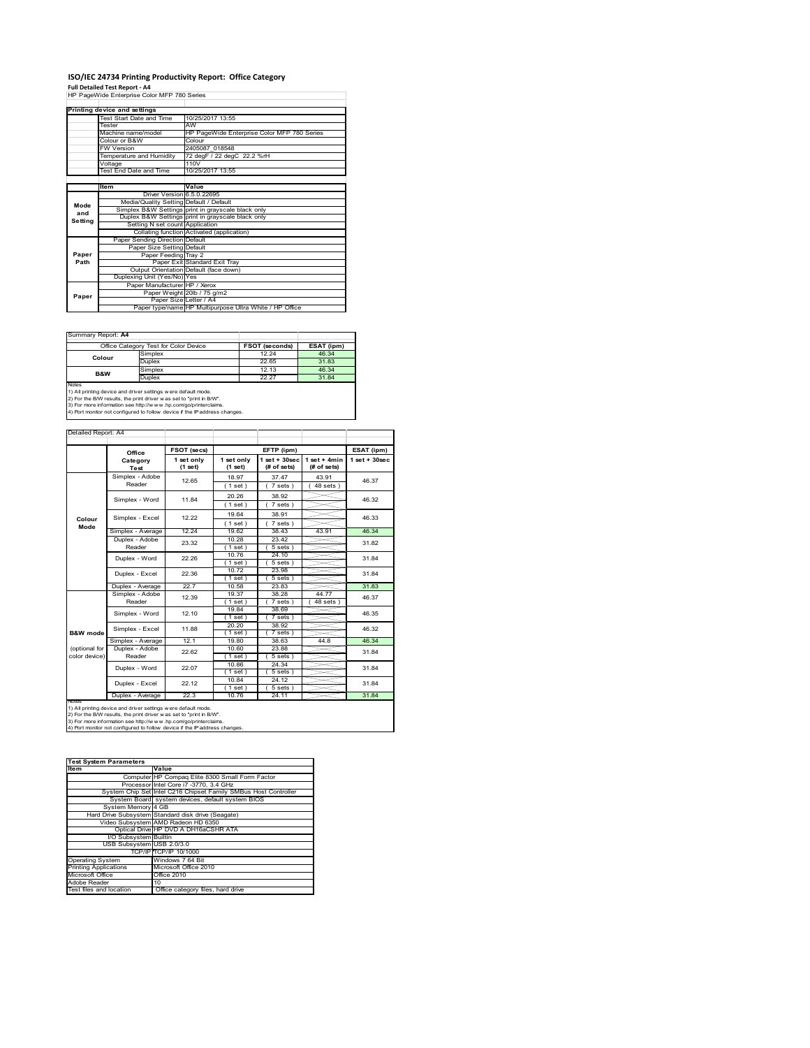# **ISO/IEC 24734 Printing Productivity Report: Office Category Full Detailed Test Report ‐ A4** HP PageWide Enterprise Color MFP 780 Series

|         | Printing device and settings            |                                                         |  |  |
|---------|-----------------------------------------|---------------------------------------------------------|--|--|
|         | Test Start Date and Time                | 10/25/2017 13:55                                        |  |  |
|         | Tester                                  | AW                                                      |  |  |
|         | Machine name/model                      | HP PageWide Enterprise Color MFP 780 Series             |  |  |
|         | Colour or B&W                           | Colour                                                  |  |  |
|         | <b>FW Version</b>                       | 2405087 018548                                          |  |  |
|         | Temperature and Humidity                | 72 degF / 22 degC 22.2 %rH                              |  |  |
|         | Voltage                                 | 110V                                                    |  |  |
|         | <b>Test End Date and Time</b>           | 10/25/2017 13:55                                        |  |  |
|         |                                         |                                                         |  |  |
|         | Item                                    | Value                                                   |  |  |
|         | Driver Version 6.5.0.22695              |                                                         |  |  |
| Mode    | Media/Quality Setting Default / Default |                                                         |  |  |
| and     |                                         | Simplex B&W Settings print in grayscale black only      |  |  |
| Setting |                                         | Duplex B&W Settings print in grayscale black only       |  |  |
|         | Setting N set count Application         |                                                         |  |  |
|         |                                         | Collating function Activated (application)              |  |  |
|         | Paper Sending Direction Default         |                                                         |  |  |
|         | Paper Size Setting Default              |                                                         |  |  |
| Paper   | Paper Feeding Tray 2                    |                                                         |  |  |
| Path    |                                         | Paper Exit Standard Exit Tray                           |  |  |
|         |                                         | Output Orientation Default (face down)                  |  |  |
|         | Duplexing Unit (Yes/No) Yes             |                                                         |  |  |
|         | Paper Manufacturer HP / Xerox           |                                                         |  |  |
| Paper   |                                         | Paper Weight 20lb / 75 g/m2                             |  |  |
|         | Paper Size Letter / A4                  |                                                         |  |  |
|         |                                         | Paper type/name HP Multipurpose Ultra White / HP Office |  |  |

 $\overline{\phantom{0}}$ 

Summary Report: **A4**

|                | Office Category Test for Color Device | <b>FSOT (seconds)</b> | ESAT (ipm) |
|----------------|---------------------------------------|-----------------------|------------|
| Colour         | Simplex                               | 12.24                 | 46.34      |
|                | Duplex                                | 22.65                 | 31.83      |
| <b>B&amp;W</b> | Simplex                               | 12.13                 | 46.34      |
|                | Duplex                                | 22.27                 | 31.84      |
| Notes          |                                       |                       |            |

Notes<br>1) All printing device and driver settings were default mode.<br>2) For the B/W results, the print driver was set to "print in B/W".<br>3) For more information see http://www.vhp.com/go/printerclaims.<br>4) Por more informati

| Detailed Report: A4 |  |
|---------------------|--|

|               | Office            | FSOT (secs)<br>EFTP (ipm) |                         |                                   | ESAT (ipm)                    |                   |
|---------------|-------------------|---------------------------|-------------------------|-----------------------------------|-------------------------------|-------------------|
|               | Category<br>Test  | 1 set only<br>(1 set)     | 1 set only<br>$(1$ set) | $1$ set + $30$ sec<br>(# of sets) | $1$ set + 4min<br>(# of sets) | $1$ set $+30$ sec |
|               | Simplex - Adobe   | 12.65                     | 18.97                   | 37.47                             | 43.91                         | 46.37             |
|               | Reader            |                           | (1 set)                 | 7 sets)                           | $48$ sets $)$                 |                   |
|               | Simplex - Word    | 11.84                     | 20.26                   | 38.92                             |                               | 46.32             |
|               |                   |                           | (1 set)                 | 7 sets)                           |                               |                   |
| Colour        | Simplex - Excel   | 12.22                     | 19.64                   | 38.91                             |                               | 46.33             |
| Mode          |                   |                           | (1 set)                 | $7 sets$ )                        |                               |                   |
|               | Simplex - Average | 12.24                     | 19.62                   | 38.43                             | 43.91                         | 46.34             |
|               | Duplex - Adobe    | 23.32                     | 10.28                   | 23.42                             |                               | 31.82             |
|               | Reader            |                           | $1$ set)                | $5 sets$ )                        |                               |                   |
|               | Duplex - Word     | 22.26                     | 10.76                   | 24.10                             |                               | 31.84             |
|               |                   |                           | (1 set)                 | $5 sets$ )                        |                               |                   |
|               | Duplex - Excel    | 22.36                     | 10.72                   | 23.98                             |                               | 31.84             |
|               | Duplex - Average  | 22.7                      | $1$ set<br>10.58        | $5 sets$ )<br>23.83               |                               | 31.83             |
|               | Simplex - Adobe   |                           | 19.37                   | 38.28                             | 44.77                         |                   |
|               | Reader            | 12.39                     | $1$ set $)$             | 7 sets                            | $48$ sets                     | 46.37             |
|               | Simplex - Word    | 12.10                     | 19.84                   | 38.69                             |                               | 46.35             |
|               |                   |                           | (1 set)                 | 7 sets)                           |                               |                   |
|               | Simplex - Excel   | 11.88                     | 20.20                   | 38.92                             |                               | 46.32             |
| B&W mode      |                   |                           | $1$ set)                | 7 sets)                           |                               |                   |
|               | Simplex - Average | 12.1                      | 19.80                   | 38.63                             | 44.8                          | 46.34             |
| (optional for | Duplex - Adobe    | 22.62                     | 10.60                   | 23.88                             |                               | 31.84             |
| color device) | Reader            |                           | $1$ set)                | $5 sets$ )                        |                               |                   |
|               | Duplex - Word     | 22.07                     | 10.86                   | 24.34                             |                               | 31.84             |
|               |                   |                           | $1$ set)                | $5 sets$ )                        |                               |                   |
|               | Duplex - Excel    | 22.12                     | 10.84                   | 24.12                             |                               | 31.84             |
|               |                   |                           | $1$ set)                | $5 sets$ )                        |                               |                   |
|               | Duplex - Average  | 22.3                      | 10.76                   | 24.11                             |                               | 31.84             |

| <b>Test System Parameters</b> |                                                                 |  |  |  |
|-------------------------------|-----------------------------------------------------------------|--|--|--|
| <b>Item</b>                   | Value                                                           |  |  |  |
|                               | Computer HP Compaq Elite 8300 Small Form Factor                 |  |  |  |
|                               | Processor Intel Core i7 -3770, 3.4 GHz                          |  |  |  |
|                               | System Chip Set Intel C216 Chipset Family SMBus Host Controller |  |  |  |
|                               | System Board system devices, default system BIOS                |  |  |  |
| System Memory 4 GB            |                                                                 |  |  |  |
|                               | Hard Drive Subsystem Standard disk drive (Seagate)              |  |  |  |
|                               | Video Subsystem AMD Radeon HD 6350                              |  |  |  |
|                               | Optical Drive HP DVD A DH16aCSHR ATA                            |  |  |  |
| I/O Subsystem Builtin         |                                                                 |  |  |  |
| USB Subsystem USB 2.0/3.0     |                                                                 |  |  |  |
|                               | TCP/IPITCP/IP 10/1000                                           |  |  |  |
| <b>Operating System</b>       | Windows 7 64 Bit                                                |  |  |  |
| <b>Printing Applications</b>  | Microsoft Office 2010                                           |  |  |  |
| Microsoft Office              | Office 2010                                                     |  |  |  |
| Adobe Reader                  | 10                                                              |  |  |  |
| Test files and location       | Office category files, hard drive                               |  |  |  |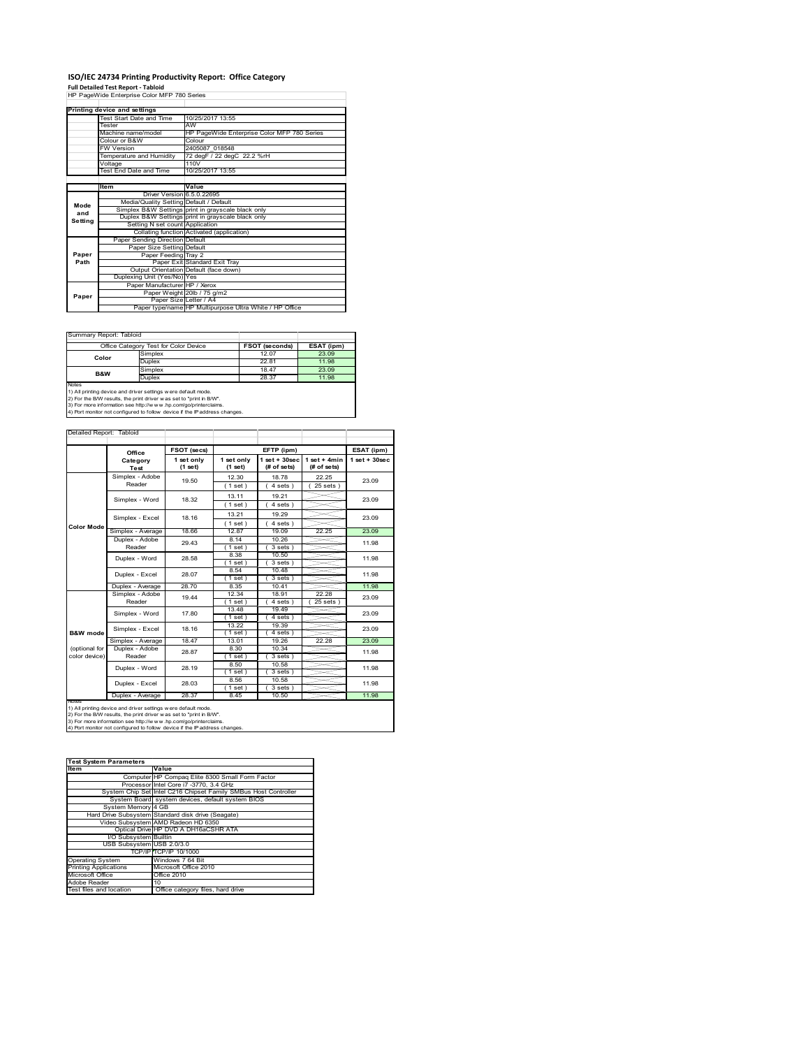## **ISO/IEC 24734 Printing Productivity Report: Office Category Full Detailed Test Report ‐ Tabloid** HP PageWide Enterprise Color MFP 780 Series

|         | Printing device and settings            |                                                         |  |  |
|---------|-----------------------------------------|---------------------------------------------------------|--|--|
|         | Test Start Date and Time                | 10/25/2017 13:55                                        |  |  |
|         | Tester                                  | AW                                                      |  |  |
|         | Machine name/model                      | HP PageWide Enterprise Color MFP 780 Series             |  |  |
|         | Colour or B&W                           | Colour                                                  |  |  |
|         | <b>FW Version</b>                       | 2405087 018548                                          |  |  |
|         | Temperature and Humidity                | 72 degF / 22 degC 22.2 %rH                              |  |  |
|         | Voltage                                 | 110V                                                    |  |  |
|         | Test End Date and Time                  | 10/25/2017 13:55                                        |  |  |
|         |                                         |                                                         |  |  |
|         | Item                                    | Value                                                   |  |  |
|         | Driver Version 6.5.0.22695              |                                                         |  |  |
| Mode    | Media/Quality Setting Default / Default |                                                         |  |  |
| and     |                                         | Simplex B&W Settings print in grayscale black only      |  |  |
| Setting |                                         | Duplex B&W Settings print in grayscale black only       |  |  |
|         | Setting N set count Application         |                                                         |  |  |
|         |                                         | Collating function Activated (application)              |  |  |
|         | Paper Sending Direction Default         |                                                         |  |  |
|         | Paper Size Setting Default              |                                                         |  |  |
| Paper   | Paper Feeding Tray 2                    |                                                         |  |  |
| Path    |                                         | Paper Exit Standard Exit Tray                           |  |  |
|         |                                         | Output Orientation Default (face down)                  |  |  |
|         | Duplexing Unit (Yes/No) Yes             |                                                         |  |  |
|         | Paper Manufacturer HP / Xerox           |                                                         |  |  |
| Paper   |                                         | Paper Weight 20lb / 75 g/m2                             |  |  |
|         | Paper Size Letter / A4                  |                                                         |  |  |
|         |                                         | Paper type/name HP Multipurpose Ultra White / HP Office |  |  |

 $\overline{\phantom{0}}$ 

Summary Report: Tabloid

| , Ouriniervi Robont, Teipioid |                                       |                       |            |
|-------------------------------|---------------------------------------|-----------------------|------------|
|                               | Office Category Test for Color Device | <b>FSOT (seconds)</b> | ESAT (ipm) |
| Color                         | Simplex                               | 12.07                 | 23.09      |
|                               | Duplex                                | 22.81                 | 11.98      |
| <b>B&amp;W</b>                | Simplex                               | 18.47                 | 23.09      |
|                               | Duplex                                | 28.37                 | 11.98      |
| Notes                         |                                       |                       |            |

Notes<br>1) All printing device and driver settings were default mode.<br>2) For the B/W results, the print driver was set to "print in B/W".<br>3) For more information see http://www.vhp.com/go/printerclaims.<br>4) Por more informati

| Detailed Report: Tabloid |                           |                       |                       |                                   |                               |                    |
|--------------------------|---------------------------|-----------------------|-----------------------|-----------------------------------|-------------------------------|--------------------|
|                          | Office                    | FSOT (secs)           |                       | EFTP (ipm)                        |                               | ESAT (ipm)         |
|                          | Category<br>Test          | 1 set only<br>(1 set) | 1 set only<br>(1 set) | $1$ set + $30$ sec<br>(# of sets) | $1$ set + 4min<br>(# of sets) | $1$ set + $30$ sec |
|                          | Simplex - Adobe<br>Reader | 19.50                 | 12.30                 | 18.78                             | 22.25                         | 23.09              |
|                          |                           |                       | (1 set)               | 4 sets                            | 25 sets                       |                    |
|                          | Simplex - Word            | 18.32                 | 13.11                 | 19.21                             |                               | 23.09              |
|                          |                           |                       | (1 set)               | $4 sets$ )                        |                               |                    |
|                          | Simplex - Excel           | 18.16                 | 13.21                 | 19.29                             |                               | 23.09              |
| <b>Color Mode</b>        |                           |                       | (1 set)               | 4 sets                            |                               |                    |
|                          | Simplex - Average         | 18.66                 | 12.87                 | 19.09                             | 22.25                         | 23.09              |
|                          | Duplex - Adobe            | 29.43                 | 8.14                  | 10.26                             |                               | 11.98              |
|                          | Reader                    |                       | $1$ set $)$           | 3 sets                            |                               |                    |
|                          | Duplex - Word             | 28.58                 | 8.38                  | 10.50                             |                               | 11.98              |
|                          |                           |                       | $1$ set)              | $3 sets$ )                        |                               |                    |
|                          | Duplex - Excel            | 28.07                 | 8.54<br>$1$ set       | 10.48<br>$3 sets$ )               |                               | 11.98              |
|                          | Duplex - Average          | 28.70                 | 8.35                  | 10.41                             |                               | 11.98              |
|                          | Simplex - Adobe           |                       | 12.34                 | 18.91                             | 22.28                         |                    |
|                          | Reader                    | 19.44                 | (1 set)               | $4 sets$ )                        | $25$ sets $)$                 | 23.09              |
|                          | Simplex - Word            | 17.80                 | 13.48                 | 19.49                             |                               | 23.09              |
|                          |                           |                       | (1 set)               | $4 sets$ )                        |                               |                    |
|                          | Simplex - Excel           | 18.16                 | 13.22                 | 19.39                             |                               | 23.09              |
| <b>B&amp;W</b> mode      |                           |                       | $1$ set)              | $4 sets$ )                        |                               |                    |
|                          | Simplex - Average         | 18.47                 | 13.01                 | 19.26                             | 22.28                         | 23.09              |
| (optional for            | Duplex - Adobe            | 28.87                 | 8.30                  | 10.34                             |                               | 11.98              |
| color device)            | Reader                    |                       | $1$ set)              | $3 sets$ )                        |                               |                    |
|                          | Duplex - Word             | 28.19                 | 8.50                  | 10.58                             |                               | 11.98              |
|                          |                           |                       | $1$ set               | 3 sets 1                          |                               |                    |
|                          | Duplex - Excel            | 28.03                 | 8.56                  | 10.58                             |                               | 11.98              |
|                          |                           |                       | (1 set)               | 3 sets)                           |                               |                    |
| <b>INOTES</b>            | Duplex - Average          | 28.37                 | 8.45                  | 10.50                             |                               | 11.98              |

notes<br>1) All printing device and driver settings were default mode.<br>2) For the B/W results, the print driver was set to "print in B/W".<br>3) For more information see http://www.vhp.com/go/printerclaims.<br>4) Por more informati

| <b>Test System Parameters</b> |                                                                 |
|-------------------------------|-----------------------------------------------------------------|
| Item                          | Value                                                           |
|                               | Computer HP Compaq Elite 8300 Small Form Factor                 |
|                               | Processor Intel Core i7 -3770, 3.4 GHz                          |
|                               | System Chip Set Intel C216 Chipset Family SMBus Host Controller |
|                               | System Board system devices, default system BIOS                |
| System Memory 4 GB            |                                                                 |
|                               | Hard Drive Subsystem Standard disk drive (Seagate)              |
|                               | Video Subsystem AMD Radeon HD 6350                              |
|                               | Optical Drive HP DVD A DH16aCSHR ATA                            |
| I/O Subsystem Builtin         |                                                                 |
| USB Subsystem USB 2.0/3.0     |                                                                 |
|                               | TCP/IPITCP/IP 10/1000                                           |
| <b>Operating System</b>       | Windows 7 64 Bit                                                |
| <b>Printing Applications</b>  | Microsoft Office 2010                                           |
| Microsoft Office              | Office 2010                                                     |
| Adobe Reader                  | 10                                                              |
| Test files and location       | Office category files, hard drive                               |
|                               |                                                                 |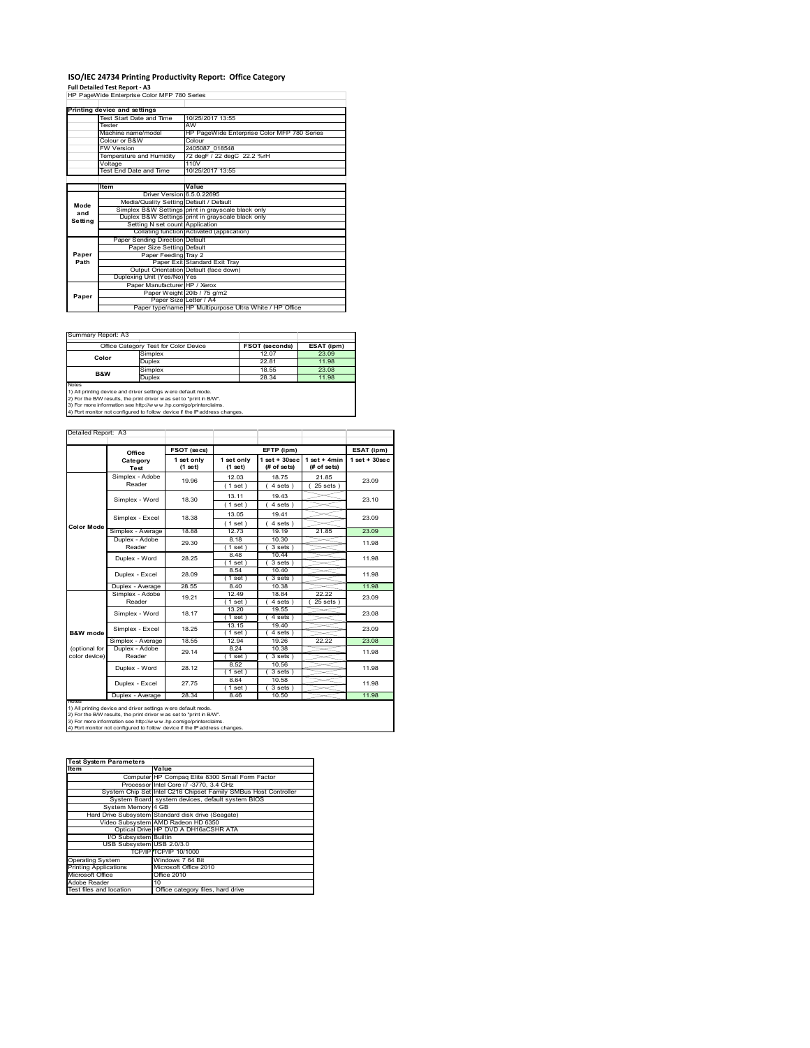# **ISO/IEC 24734 Printing Productivity Report: Office Category Full Detailed Test Report ‐ A3** HP PageWide Enterprise Color MFP 780 Series

|         | Printing device and settings            |                                                         |
|---------|-----------------------------------------|---------------------------------------------------------|
|         | Test Start Date and Time                | 10/25/2017 13:55                                        |
|         | Tester                                  | AW                                                      |
|         | Machine name/model                      | HP PageWide Enterprise Color MFP 780 Series             |
|         | Colour or B&W                           | Colour                                                  |
|         | <b>FW Version</b>                       | 2405087 018548                                          |
|         | Temperature and Humidity                | 72 degF / 22 degC 22.2 %rH                              |
|         | Voltage                                 | 110V                                                    |
|         | <b>Test End Date and Time</b>           | 10/25/2017 13:55                                        |
|         |                                         |                                                         |
|         | Item                                    | Value                                                   |
|         | Driver Version 6.5.0.22695              |                                                         |
| Mode    | Media/Quality Setting Default / Default |                                                         |
| and     |                                         | Simplex B&W Settings print in grayscale black only      |
| Setting |                                         | Duplex B&W Settings print in grayscale black only       |
|         | Setting N set count Application         |                                                         |
|         |                                         | Collating function Activated (application)              |
|         | Paper Sending Direction Default         |                                                         |
|         | Paper Size Setting Default              |                                                         |
| Paper   | Paper Feeding Tray 2                    |                                                         |
| Path    |                                         | Paper Exit Standard Exit Tray                           |
|         |                                         | Output Orientation Default (face down)                  |
|         | Duplexing Unit (Yes/No) Yes             |                                                         |
|         | Paper Manufacturer HP / Xerox           |                                                         |
| Paper   |                                         | Paper Weight 20lb / 75 g/m2                             |
|         | Paper Size Letter / A4                  |                                                         |
|         |                                         | Paper type/name HP Multipurpose Ultra White / HP Office |

 $\overline{\phantom{a}}$ 

| Summary Report: A3 |                                       |                       |            |
|--------------------|---------------------------------------|-----------------------|------------|
|                    | Office Category Test for Color Device | <b>FSOT (seconds)</b> | ESAT (ipm) |
| Color              | Simplex                               | 12.07                 | 23.09      |
|                    | <b>Duplex</b>                         | 22.81                 | 11.98      |
| <b>B&amp;W</b>     | Simplex                               | 18.55                 | 23.08      |
|                    | Duplex                                | 28.34                 | 11.98      |
| Notes              |                                       |                       |            |

Notes<br>1) All printing device and driver settings were default mode.<br>2) For the B/W results, the print driver was set to "print in B/W".<br>3) For more information see http://www.vhp.com/go/printerclaims.<br>4) Por more informati

| Detailed Report: A3            |                           |                       |                       |                                  |                               |                    |
|--------------------------------|---------------------------|-----------------------|-----------------------|----------------------------------|-------------------------------|--------------------|
|                                | Office                    | FSOT (secs)           |                       | EFTP (ipm)                       |                               | ESAT (ipm)         |
|                                | Category<br>Test          | 1 set only<br>(1 set) | 1 set only<br>(1 set) | $1$ set $+30$ sec<br>(# of sets) | $1$ set + 4min<br>(# of sets) | $1$ set + $30$ sec |
|                                | Simplex - Adobe<br>Reader | 19.96                 | 12.03<br>(1 set)      | 18.75<br>$4 sets$ )              | 21.85<br>$25$ sets $)$        | 23.09              |
|                                | Simplex - Word            | 18.30                 | 13.11<br>(1 set)      | 19.43<br>4 sets)                 |                               | 23.10              |
|                                | Simplex - Excel           | 18.38                 | 13.05<br>(1 set)      | 19.41<br>4 sets)                 |                               | 23.09              |
| <b>Color Mode</b>              | Simplex - Average         | 18.88                 | 12.73                 | 19.19                            | 21.85                         | 23.09              |
|                                | Duplex - Adobe<br>Reader  | 29.30                 | 8.18<br>(1 set)       | 10.30<br>$3 sets$ )              |                               | 11.98              |
|                                | Duplex - Word             | 28.25                 | 8.48<br>$1$ set $)$   | 1044<br>$3 sets$ )               |                               | 11.98              |
|                                | Duplex - Excel            | 28.09                 | 8.54<br>$1$ set)      | 10.40<br>$3 sets$ )              |                               | 11.98              |
|                                | Duplex - Average          | 28.55                 | 8.40                  | 10.38                            |                               | 11.98              |
|                                | Simplex - Adobe<br>Reader | 19.21                 | 12.49<br>(1 set)      | 18.84<br>$4 sets$ )              | 22.22<br>$25$ sets $)$        | 23.09              |
|                                | Simplex - Word            | 18.17                 | 13.20<br>(1 set)      | 19.55<br>4 sets)                 |                               | 23.08              |
| <b>R&amp;W</b> mode            | Simplex - Excel           | 18.25                 | 13.15<br>(1 set)      | 19.40<br>$4 sets$ )              |                               | 23.09              |
|                                | Simplex - Average         | 18.55                 | 12.94                 | 19.26                            | 22.22                         | 23.08              |
| (optional for<br>color device) | Duplex - Adobe<br>Reader  | 29.14                 | 8.24<br>$1$ set)      | 10.38<br>$3 sets$ )              |                               | 11.98              |
|                                | Duplex - Word             | 28.12                 | 8.52<br>(1 set)       | 10.56<br>3 sets                  |                               | 11.98              |
|                                | Duplex - Excel            | 27.75                 | 8.64<br>(1 set)       | 10.58<br>3 sets)                 |                               | 11.98              |
| <b>NOTAS</b>                   | Duplex - Average          | 28.34                 | 8.46                  | 10.50                            |                               | 11.98              |

notes<br>1) All printing device and driver settings were default mode.<br>2) For the B/W results, the print driver was set to "print in B/W".<br>3) For more information see http://www.vhp.com/go/printerclaims.<br>4) Por more informati

| <b>Test System Parameters</b> |                                                                 |
|-------------------------------|-----------------------------------------------------------------|
| Item                          | Value                                                           |
|                               | Computer HP Compaq Elite 8300 Small Form Factor                 |
|                               | Processor Intel Core i7 -3770, 3.4 GHz                          |
|                               | System Chip Set Intel C216 Chipset Family SMBus Host Controller |
|                               | System Board system devices, default system BIOS                |
| System Memory 4 GB            |                                                                 |
|                               | Hard Drive Subsystem Standard disk drive (Seagate)              |
|                               | Video Subsystem AMD Radeon HD 6350                              |
|                               | Optical Drive HP DVD A DH16aCSHR ATA                            |
| I/O Subsystem Builtin         |                                                                 |
| USB Subsystem USB 2.0/3.0     |                                                                 |
|                               | TCP/IPITCP/IP 10/1000                                           |
| <b>Operating System</b>       | Windows 7 64 Bit                                                |
| <b>Printing Applications</b>  | Microsoft Office 2010                                           |
| Microsoft Office              | Office 2010                                                     |
| Adobe Reader                  | 10                                                              |
| Test files and location       | Office category files, hard drive                               |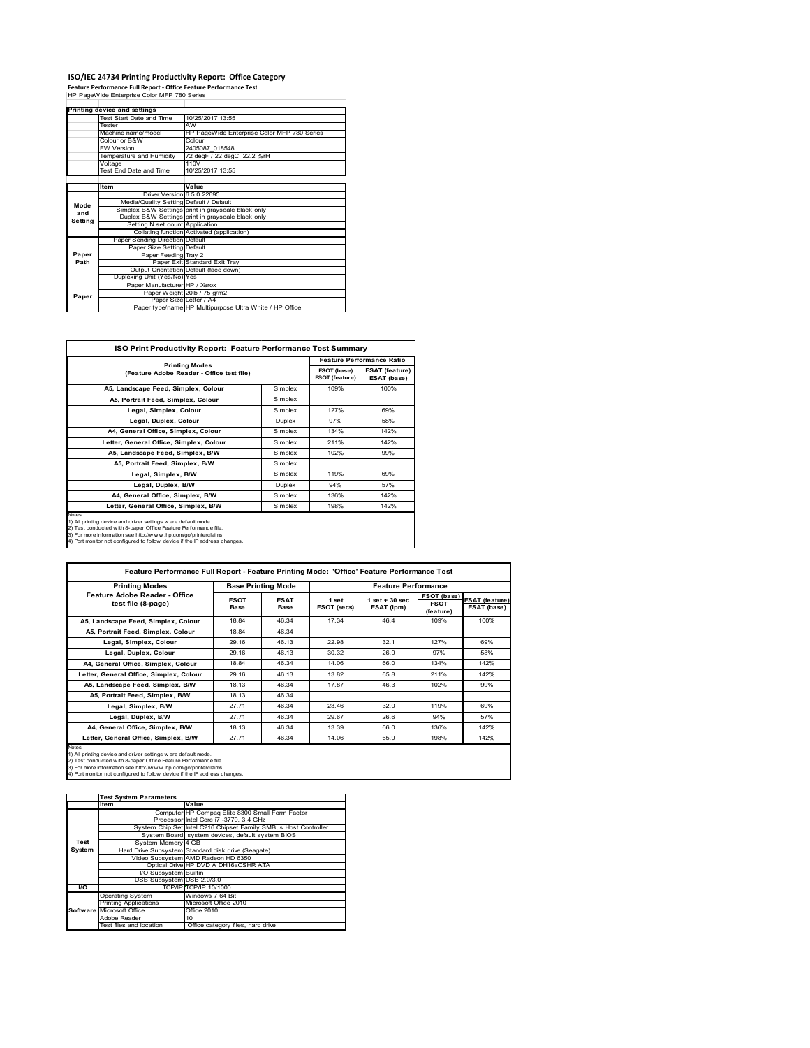## **ISO/IEC 24734 Printing Productivity Report: Office Category Feature Performance Full Report ‐ Office Feature Performance Test** HP PageWide Enterprise Color MFP 780 Series

|         | Printing device and settings            |                                                         |
|---------|-----------------------------------------|---------------------------------------------------------|
|         | Test Start Date and Time                | 10/25/2017 13:55                                        |
|         | Tester                                  | AW                                                      |
|         | Machine name/model                      | HP PageWide Enterprise Color MFP 780 Series             |
|         | Colour or B&W                           | Colour                                                  |
|         | <b>FW Version</b>                       | 2405087 018548                                          |
|         | Temperature and Humidity                | 72 degF / 22 degC 22.2 %rH                              |
|         | Voltage                                 | 110V                                                    |
|         | Test End Date and Time                  | 10/25/2017 13:55                                        |
|         |                                         |                                                         |
|         | <b>Item</b>                             | Value                                                   |
|         | Driver Version 6.5.0.22695              |                                                         |
| Mode    | Media/Quality Setting Default / Default |                                                         |
| and     |                                         | Simplex B&W Settings print in grayscale black only      |
| Setting |                                         | Duplex B&W Settings print in grayscale black only       |
|         | Setting N set count Application         |                                                         |
|         |                                         | Collating function Activated (application)              |
|         | Paper Sending Direction Default         |                                                         |
|         | Paper Size Setting Default              |                                                         |
| Paper   | Paper Feeding Tray 2                    |                                                         |
| Path    |                                         | Paper Exit Standard Exit Tray                           |
|         |                                         | Output Orientation Default (face down)                  |
|         | Duplexing Unit (Yes/No) Yes             |                                                         |
|         | Paper Manufacturer HP / Xerox           |                                                         |
| Paper   |                                         | Paper Weight 20lb / 75 g/m2                             |
|         | Paper Size Letter / A4                  |                                                         |
|         |                                         | Paper type/name HP Multipurpose Ultra White / HP Office |

 $\overline{\phantom{a}}$ 

|                                                                    |         |                               | <b>Feature Performance Ratio</b>     |
|--------------------------------------------------------------------|---------|-------------------------------|--------------------------------------|
| <b>Printing Modes</b><br>(Feature Adobe Reader - Office test file) |         | FSOT (base)<br>FSOT (feature) | <b>ESAT (feature)</b><br>ESAT (base) |
| A5, Landscape Feed, Simplex, Colour                                | Simplex | 109%                          | 100%                                 |
| A5, Portrait Feed, Simplex, Colour                                 | Simplex |                               |                                      |
| Legal, Simplex, Colour                                             | Simplex | 127%                          | 69%                                  |
| Legal, Duplex, Colour                                              | Duplex  | 97%                           | 58%                                  |
| A4, General Office, Simplex, Colour                                | Simplex | 134%                          | 142%                                 |
| Letter, General Office, Simplex, Colour                            | Simplex | 211%                          | 142%                                 |
| A5, Landscape Feed, Simplex, B/W                                   | Simplex | 102%                          | 99%                                  |
| A5, Portrait Feed, Simplex, B/W                                    | Simplex |                               |                                      |
| Legal, Simplex, B/W                                                | Simplex | 119%                          | 69%                                  |
| Legal, Duplex, B/W                                                 | Duplex  | 94%                           | 57%                                  |
| A4, General Office, Simplex, B/W                                   | Simplex | 136%                          | 142%                                 |
| Letter, General Office, Simplex, B/W                               | Simplex | 198%                          | 142%                                 |

2) Test conducted w ith 8-paper Office Feature Performance file.<br>3) For more information see http://w w w.hp.com/go/printerclaims.<br>4) Port monitor not configured to follow device if the IP address changes.

| Feature Performance Full Report - Feature Printing Mode: 'Office' Feature Performance Test                                                                                                                                                                                                 |                     |                           |                      |                                  |                                                |                                      |
|--------------------------------------------------------------------------------------------------------------------------------------------------------------------------------------------------------------------------------------------------------------------------------------------|---------------------|---------------------------|----------------------|----------------------------------|------------------------------------------------|--------------------------------------|
| <b>Printing Modes</b>                                                                                                                                                                                                                                                                      |                     | <b>Base Printing Mode</b> |                      | <b>Feature Performance</b>       |                                                |                                      |
| Feature Adobe Reader - Office<br>test file (8-page)                                                                                                                                                                                                                                        | <b>FSOT</b><br>Base | <b>ESAT</b><br>Base       | 1 set<br>FSOT (secs) | $1$ set $+30$ sec.<br>ESAT (ipm) | <b>FSOT (base)</b><br><b>FSOT</b><br>(feature) | <b>ESAT (feature)</b><br>ESAT (base) |
| A5, Landscape Feed, Simplex, Colour                                                                                                                                                                                                                                                        | 18.84               | 46.34                     | 17.34                | 46.4                             | 109%                                           | 100%                                 |
| A5, Portrait Feed, Simplex, Colour                                                                                                                                                                                                                                                         | 18.84               | 46.34                     |                      |                                  |                                                |                                      |
| Legal, Simplex, Colour                                                                                                                                                                                                                                                                     | 29.16               | 46.13                     | 22.98                | 32.1                             | 127%                                           | 69%                                  |
| Legal, Duplex, Colour                                                                                                                                                                                                                                                                      | 29.16               | 46.13                     | 30.32                | 26.9                             | 97%                                            | 58%                                  |
| A4, General Office, Simplex, Colour                                                                                                                                                                                                                                                        | 18.84               | 46.34                     | 14.06                | 66.0                             | 134%                                           | 142%                                 |
| Letter, General Office, Simplex, Colour                                                                                                                                                                                                                                                    | 29.16               | 46.13                     | 13.82                | 65.8                             | 211%                                           | 142%                                 |
| A5, Landscape Feed, Simplex, B/W                                                                                                                                                                                                                                                           | 18.13               | 46.34                     | 17.87                | 46.3                             | 102%                                           | 99%                                  |
| A5. Portrait Feed. Simplex. B/W                                                                                                                                                                                                                                                            | 18.13               | 46.34                     |                      |                                  |                                                |                                      |
| Legal, Simplex, B/W                                                                                                                                                                                                                                                                        | 27.71               | 46.34                     | 23.46                | 32.0                             | 119%                                           | 69%                                  |
| Legal, Duplex, B/W                                                                                                                                                                                                                                                                         | 27.71               | 46.34                     | 29.67                | 26.6                             | 94%                                            | 57%                                  |
| A4, General Office, Simplex, B/W                                                                                                                                                                                                                                                           | 18.13               | 46.34                     | 13.39                | 66.0                             | 136%                                           | 142%                                 |
| Letter, General Office, Simplex, B/W                                                                                                                                                                                                                                                       | 27.71               | 46.34                     | 14.06                | 65.9                             | 198%                                           | 142%                                 |
| Notes<br>1) All printing device and driver settings were default mode.<br>2) Test conducted w ith 8-paper Office Feature Performance file<br>3) For more information see http://www.hp.com/go/printerclaims.<br>4) Port monitor not configured to follow device if the IP address changes. |                     |                           |                      |                                  |                                                |                                      |

|        | <b>Test System Parameters</b> |                                                                 |
|--------|-------------------------------|-----------------------------------------------------------------|
|        | <b>Item</b>                   | Value                                                           |
|        |                               | Computer HP Compaq Elite 8300 Small Form Factor                 |
|        |                               | Processor Intel Core i7 -3770, 3.4 GHz                          |
|        |                               | System Chip Set Intel C216 Chipset Family SMBus Host Controller |
|        |                               | System Board system devices, default system BIOS                |
| Test   | System Memory 4 GB            |                                                                 |
| System |                               | Hard Drive Subsystem Standard disk drive (Seagate)              |
|        |                               | Video Subsystem AMD Radeon HD 6350                              |
|        |                               | Optical Drive HP DVD A DH16aCSHR ATA                            |
|        | I/O Subsystem Builtin         |                                                                 |
|        | USB Subsystem USB 2.0/3.0     |                                                                 |
| I/O    |                               | TCP/IPITCP/IP 10/1000                                           |
|        | <b>Operating System</b>       | Windows 7 64 Bit                                                |
|        | <b>Printing Applications</b>  | Microsoft Office 2010                                           |
|        | Software Microsoft Office     | Office 2010                                                     |
|        | Adobe Reader                  | 10                                                              |
|        | Test files and location       | Office category files, hard drive                               |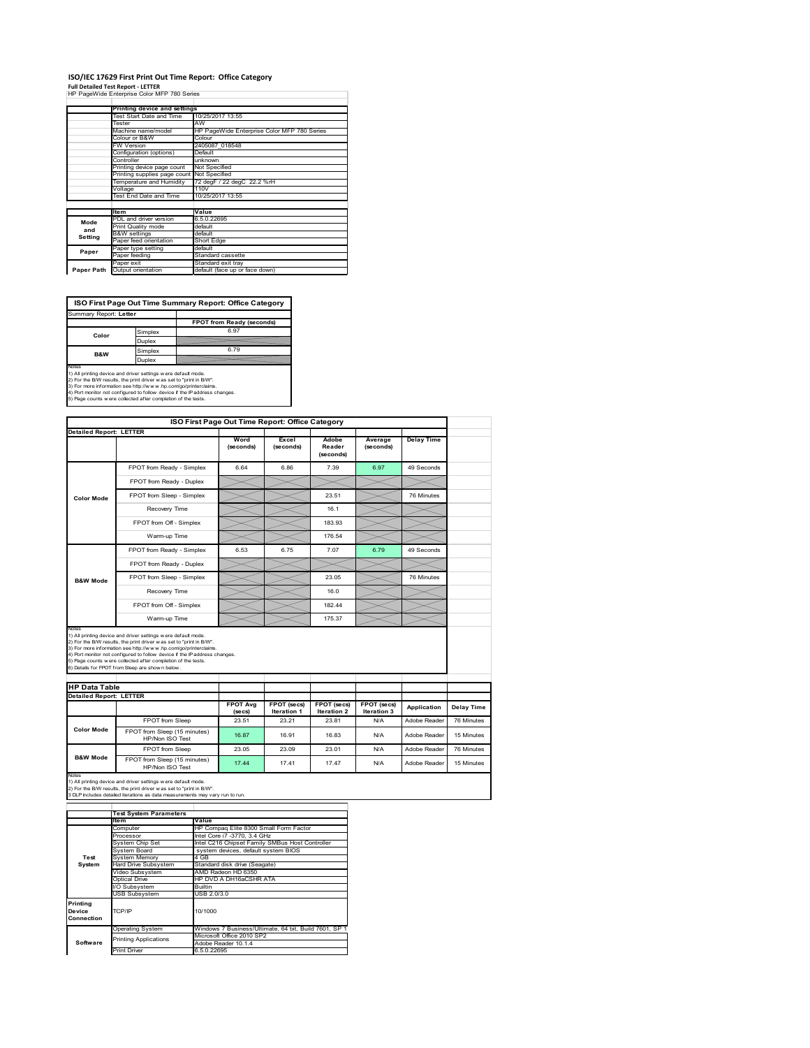## **ISO/IEC 17629 First Print Out Time Report: Office Category**

**Full Detailed Test Report ‐ LETTER** HP PageWide Enterprise Color MFP 780 Series

|            | Printing device and settings |                                             |
|------------|------------------------------|---------------------------------------------|
|            | Test Start Date and Time     | 10/25/2017 13:55                            |
|            | Tester                       | AW                                          |
|            | Machine name/model           | HP PageWide Enterprise Color MFP 780 Series |
|            | Colour or B&W                | Colour                                      |
|            | FW Version                   | 2405087 018548                              |
|            | Configuration (options)      | Default                                     |
|            | Controller                   | unknown                                     |
|            | Printing device page count   | Not Specified                               |
|            | Printing supplies page count | <b>Not Specified</b>                        |
|            | Temperature and Humidity     | 72 degF / 22 degC 22.2 %rH                  |
|            | Voltage                      | 110V                                        |
|            | Test End Date and Time       | 10/25/2017 13:55                            |
|            |                              |                                             |
|            | <b>Item</b>                  | Value                                       |
| Mode       | PDL and driver version       | 6.5.0.22695                                 |
| and        | Print Quality mode           | default                                     |
|            | <b>B&amp;W</b> settings      | default                                     |
| Setting    | Paper feed orientation       | Short Edge                                  |
| Paper      | Paper type setting           | default                                     |
|            | Paper feeding                | Standard cassette                           |
|            | Paper exit                   | Standard exit tray                          |
| Paper Path | Output orientation           | default (face up or face down)              |

**ISO First Page Out Time Summary Report: Office Category**

| Summary Report: Letter |         |                           |
|------------------------|---------|---------------------------|
|                        |         | FPOT from Ready (seconds) |
| Color                  | Simplex | 6.97                      |
|                        | Duplex  |                           |
| B&W                    | Simplex | 6.79                      |
|                        | Duplex  |                           |
| Notes                  |         |                           |

Notes<br>1) All printing device and driver settings were default mode.<br>2) For the BW results, the print driver was set to "print in BW".<br>3) For more information see http://www.hp.com/golprinterclaims.<br>4) Port montor not confi

|                                |                                                                                                                                                                                                                                                                                                                                                                                                             | ISO First Page Out Time Report: Office Category |                                   |                              |                            |                   |
|--------------------------------|-------------------------------------------------------------------------------------------------------------------------------------------------------------------------------------------------------------------------------------------------------------------------------------------------------------------------------------------------------------------------------------------------------------|-------------------------------------------------|-----------------------------------|------------------------------|----------------------------|-------------------|
| <b>Detailed Report: LETTER</b> |                                                                                                                                                                                                                                                                                                                                                                                                             | Word<br>(seconds)                               | Excel<br>(seconds)                | Adobe<br>Reader<br>(seconds) | Average<br>(seconds)       | <b>Delay Time</b> |
|                                | FPOT from Ready - Simplex                                                                                                                                                                                                                                                                                                                                                                                   | 6.64                                            | 6.86                              | 7.39                         | 6.97                       | 49 Seconds        |
|                                | FPOT from Ready - Duplex                                                                                                                                                                                                                                                                                                                                                                                    |                                                 |                                   |                              |                            |                   |
| <b>Color Mode</b>              | FPOT from Sleep - Simplex                                                                                                                                                                                                                                                                                                                                                                                   |                                                 |                                   | 23.51                        |                            | 76 Minutes        |
|                                | Recovery Time                                                                                                                                                                                                                                                                                                                                                                                               |                                                 |                                   | 16.1                         |                            |                   |
|                                | FPOT from Off - Simplex                                                                                                                                                                                                                                                                                                                                                                                     |                                                 |                                   | 183.93                       |                            |                   |
|                                | Warm-up Time                                                                                                                                                                                                                                                                                                                                                                                                |                                                 |                                   | 176.54                       |                            |                   |
|                                | FPOT from Ready - Simplex                                                                                                                                                                                                                                                                                                                                                                                   | 6.53                                            | 6.75                              | 7.07                         | 6.79                       | 49 Seconds        |
|                                | FPOT from Ready - Duplex                                                                                                                                                                                                                                                                                                                                                                                    |                                                 |                                   |                              |                            |                   |
| <b>B&amp;W Mode</b>            | FPOT from Sleep - Simplex                                                                                                                                                                                                                                                                                                                                                                                   |                                                 |                                   | 23.05                        |                            | 76 Minutes        |
|                                |                                                                                                                                                                                                                                                                                                                                                                                                             |                                                 |                                   |                              |                            |                   |
|                                | Recovery Time                                                                                                                                                                                                                                                                                                                                                                                               |                                                 |                                   | 16.0                         |                            |                   |
|                                | FPOT from Off - Simplex                                                                                                                                                                                                                                                                                                                                                                                     |                                                 |                                   | 182 44                       |                            |                   |
| Notes                          | Warm-up Time                                                                                                                                                                                                                                                                                                                                                                                                |                                                 |                                   | 175.37                       |                            |                   |
| <b>HP Data Table</b>           | 1) All printing device and driver settings w ere default mode.<br>2) For the B/W results, the print driver was set to "print in B/W".<br>3) For more information see http://www.hp.com/go/printerclaims.<br>4) Port monitor not configured to follow device if the IP address changes.<br>5) Page counts w ere collected after completion of the tests.<br>6) Details for FPOT from Sleep are show n below. |                                                 |                                   |                              |                            |                   |
|                                |                                                                                                                                                                                                                                                                                                                                                                                                             |                                                 |                                   |                              |                            |                   |
| <b>Detailed Report: LETTER</b> |                                                                                                                                                                                                                                                                                                                                                                                                             | <b>FPOT Avg</b><br>$($ se $cs)$                 | FPOT (secs)<br><b>Iteration 1</b> | FPOT (secs)<br>Iteration 2   | FPOT (secs)<br>Iteration 3 | Application       |
|                                | FPOT from Sleep                                                                                                                                                                                                                                                                                                                                                                                             | 23.51                                           | 23 21                             | 23.81                        | N/A                        | Adobe Reader      |
| <b>Color Mode</b>              | FPOT from Sleep (15 minutes)<br>HP/Non ISO Test                                                                                                                                                                                                                                                                                                                                                             | 16.87                                           | 16.91                             | 16.83                        | N/A                        | Adobe Reader      |
| <b>B&amp;W Mode</b>            | FPOT from Sleep                                                                                                                                                                                                                                                                                                                                                                                             | 23.05                                           | 23.09                             | 23.01                        | N/A                        | Adobe Reader      |

Notes<br>1) All printing device and driver settings w ere default mode.<br>2) For the B/W results, the print driver w as set to "print in B/W".<br>3 DLP includes detailed iterations as data measurements may vary run to run.

|                                  | <b>Test System Parameters</b>                         |                                                       |  |  |
|----------------------------------|-------------------------------------------------------|-------------------------------------------------------|--|--|
|                                  | Item                                                  | Value                                                 |  |  |
|                                  | Computer                                              | HP Compaq Elite 8300 Small Form Factor                |  |  |
|                                  | Processor                                             | Intel Core i7 -3770, 3.4 GHz                          |  |  |
|                                  | System Chip Set                                       | Intel C216 Chipset Family SMBus Host Controller       |  |  |
|                                  | System Board                                          | system devices, default system BIOS                   |  |  |
| Test                             | <b>System Memory</b>                                  | 4 GB                                                  |  |  |
| System                           | Hard Drive Subsystem<br>Standard disk drive (Seagate) |                                                       |  |  |
|                                  | Video Subsystem                                       | AMD Radeon HD 6350                                    |  |  |
|                                  | Optical Drive                                         | HP DVD A DH16aCSHR ATA                                |  |  |
|                                  | I/O Subsystem                                         | <b>Builtin</b>                                        |  |  |
|                                  | <b>USB Subsystem</b>                                  | USB 2.0/3.0                                           |  |  |
| Printing<br>Device<br>Connection | TCP/IP                                                | 10/1000                                               |  |  |
|                                  | <b>Operating System</b>                               | Windows 7 Business/Ultimate, 64 bit, Build 7601, SP 1 |  |  |
|                                  | <b>Printing Applications</b>                          | Microsoft Office 2010 SP2                             |  |  |
| Software                         |                                                       | Adobe Reader 10.1.4                                   |  |  |
|                                  | Print Driver                                          | 6.5.0.22695                                           |  |  |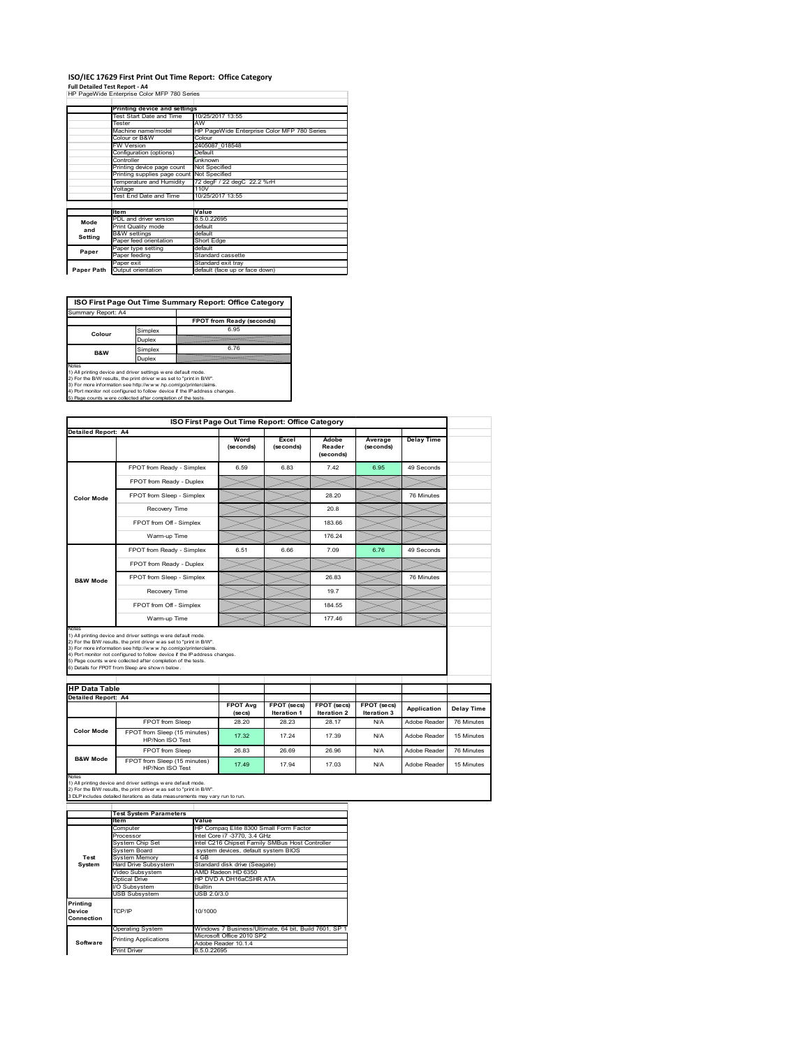### **ISO/IEC 17629 First Print Out Time Report: Office Category**

**Full Detailed Test Report ‐ A4** HP PageWide Enterprise Color MFP 780 Series

|            | Printing device and settings |                                             |  |  |
|------------|------------------------------|---------------------------------------------|--|--|
|            | Test Start Date and Time     | 10/25/2017 13:55                            |  |  |
|            | Tester                       | AW                                          |  |  |
|            | Machine name/model           | HP PageWide Enterprise Color MFP 780 Series |  |  |
|            | Colour or B&W                | Colour                                      |  |  |
|            | FW Version                   | 2405087 018548                              |  |  |
|            | Configuration (options)      | Default                                     |  |  |
|            | Controller                   | unknown                                     |  |  |
|            | Printing device page count   | Not Specified                               |  |  |
|            | Printing supplies page count | Not Specified                               |  |  |
|            | Temperature and Humidity     | 72 degF / 22 degC 22.2 %rH                  |  |  |
|            | Voltage                      | 110V                                        |  |  |
|            | Test End Date and Time       | 10/25/2017 13:55                            |  |  |
|            |                              |                                             |  |  |
|            | <b>Item</b>                  | Value                                       |  |  |
| Mode       | PDL and driver version       | 6.5.0.22695                                 |  |  |
| and        | Print Quality mode           | default                                     |  |  |
|            | <b>B&amp;W</b> settings      | default                                     |  |  |
| Setting    | Paper feed orientation       | <b>Short Edge</b>                           |  |  |
| Paper      | Paper type setting           | default                                     |  |  |
|            | Paper feeding                | Standard cassette                           |  |  |
|            | Paper exit                   | Standard exit tray                          |  |  |
| Paper Path | Output orientation           | default (face up or face down)              |  |  |

٦

**ISO First Page Out Time Summary Report: Office Category**

| Summary Report: A4 |         |                           |
|--------------------|---------|---------------------------|
|                    |         | FPOT from Ready (seconds) |
| Colour             | Simplex | 6.95                      |
|                    | Duplex  |                           |
| B&W                | Simplex | 6.76                      |
|                    | Duplex  |                           |
| Mate-              |         |                           |

Notes<br>1) All printing device and driver settings were default mode.<br>2) For the BAV results, the print driver was set to "print in BAV".<br>3) For more information see http://www.hp.com/golprinterclaims.<br>4) Port monitor not co

|                                                             |                                                                                                                                                                                                                                                                                                                                                                                                             | ISO First Page Out Time Report: Office Category |                    |                              |                      |                   |            |
|-------------------------------------------------------------|-------------------------------------------------------------------------------------------------------------------------------------------------------------------------------------------------------------------------------------------------------------------------------------------------------------------------------------------------------------------------------------------------------------|-------------------------------------------------|--------------------|------------------------------|----------------------|-------------------|------------|
| <b>Detailed Report: A4</b>                                  |                                                                                                                                                                                                                                                                                                                                                                                                             | Word<br>(seconds)                               | Excel<br>(seconds) | Adobe<br>Reader<br>(seconds) | Average<br>(seconds) | <b>Delay Time</b> |            |
|                                                             | FPOT from Ready - Simplex                                                                                                                                                                                                                                                                                                                                                                                   | 6.59                                            | 6.83               | 7.42                         | 6.95                 | 49 Seconds        |            |
|                                                             | FPOT from Ready - Duplex                                                                                                                                                                                                                                                                                                                                                                                    |                                                 |                    |                              |                      |                   |            |
| <b>Color Mode</b>                                           | FPOT from Sleep - Simplex                                                                                                                                                                                                                                                                                                                                                                                   |                                                 |                    | 28.20                        |                      | 76 Minutes        |            |
|                                                             | Recovery Time                                                                                                                                                                                                                                                                                                                                                                                               |                                                 |                    | 20.8                         |                      |                   |            |
|                                                             | FPOT from Off - Simplex                                                                                                                                                                                                                                                                                                                                                                                     |                                                 |                    | 183.66                       |                      |                   |            |
|                                                             | Warm-up Time                                                                                                                                                                                                                                                                                                                                                                                                |                                                 |                    | 176.24                       |                      |                   |            |
|                                                             | FPOT from Ready - Simplex                                                                                                                                                                                                                                                                                                                                                                                   | 6.51                                            | 6.66               | 7.09                         | 6.76                 | 49 Seconds        |            |
|                                                             | FPOT from Ready - Duplex                                                                                                                                                                                                                                                                                                                                                                                    |                                                 |                    |                              |                      |                   |            |
| <b>B&amp;W Mode</b>                                         | FPOT from Sleep - Simplex                                                                                                                                                                                                                                                                                                                                                                                   |                                                 |                    | 26.83                        |                      | 76 Minutes        |            |
|                                                             | Recovery Time                                                                                                                                                                                                                                                                                                                                                                                               |                                                 |                    | 197                          |                      |                   |            |
|                                                             |                                                                                                                                                                                                                                                                                                                                                                                                             |                                                 |                    |                              |                      |                   |            |
|                                                             | FPOT from Off - Simplex                                                                                                                                                                                                                                                                                                                                                                                     |                                                 |                    | 184.55                       |                      |                   |            |
|                                                             | Warm-up Time                                                                                                                                                                                                                                                                                                                                                                                                |                                                 |                    | 177.46                       |                      |                   |            |
| Notes<br><b>HP Data Table</b><br><b>Detailed Report: A4</b> | 1) All printing device and driver settings w ere default mode.<br>2) For the B/W results, the print driver was set to "print in B/W".<br>3) For more information see http://www.hp.com/go/printerclaims.<br>4) Port monitor not configured to follow device if the IP address changes.<br>5) Page counts w ere collected after completion of the tests.<br>6) Details for FPOT from Sleep are show n below. | <b>FPOT Avg</b>                                 | FPOT (secs)        | FPOT (secs)                  | FPOT (secs)          |                   |            |
|                                                             |                                                                                                                                                                                                                                                                                                                                                                                                             | (se cs)                                         | <b>Iteration 1</b> | Iteration 2                  | <b>Iteration 3</b>   | Application       | Delay Time |
| <b>Color Mode</b>                                           | FPOT from Sleep                                                                                                                                                                                                                                                                                                                                                                                             | 28.20                                           | 28.23              | 28.17                        | N/A                  | Adobe Reader      | 76 Minutes |
|                                                             | FPOT from Sleep (15 minutes)<br>HP/Non ISO Test                                                                                                                                                                                                                                                                                                                                                             | 17.32                                           | 17.24              | 17.39                        | N/A                  | Adobe Reader      | 15 Minutes |
| <b>B&amp;W Mode</b>                                         | FPOT from Sleep<br>FPOT from Sleep (15 minutes)                                                                                                                                                                                                                                                                                                                                                             | 26.83                                           | 26.69              | 26.96                        | N/A                  | Adobe Reader      | 76 Minutes |

|                                  | <b>Test System Parameters</b>                                |                                                       |  |  |  |
|----------------------------------|--------------------------------------------------------------|-------------------------------------------------------|--|--|--|
|                                  | ltem                                                         | Value                                                 |  |  |  |
|                                  | Computer                                                     | HP Compaq Elite 8300 Small Form Factor                |  |  |  |
|                                  | Processor                                                    | Intel Core i7 -3770, 3.4 GHz                          |  |  |  |
|                                  | System Chip Set                                              | Intel C216 Chipset Family SMBus Host Controller       |  |  |  |
|                                  | System Board                                                 | system devices, default system BIOS                   |  |  |  |
| Test                             | <b>System Memory</b>                                         | 4 GB                                                  |  |  |  |
| System                           | <b>Hard Drive Subsystem</b><br>Standard disk drive (Seagate) |                                                       |  |  |  |
|                                  | Video Subsystem<br>AMD Radeon HD 6350                        |                                                       |  |  |  |
|                                  | Optical Drive                                                | HP DVD A DH16aCSHR ATA                                |  |  |  |
|                                  | I/O Subsystem                                                | <b>Builtin</b>                                        |  |  |  |
|                                  | <b>USB Subsystem</b>                                         | USB 2.0/3.0                                           |  |  |  |
| Printing<br>Device<br>Connection | TCP/IP                                                       | 10/1000                                               |  |  |  |
|                                  | <b>Operating System</b>                                      | Windows 7 Business/Ultimate, 64 bit, Build 7601, SP 1 |  |  |  |
|                                  | <b>Printing Applications</b>                                 | Microsoft Office 2010 SP2                             |  |  |  |
| Software                         |                                                              | Adobe Reader 10.1.4                                   |  |  |  |
|                                  | <b>Print Driver</b>                                          | 6.5.0.22695                                           |  |  |  |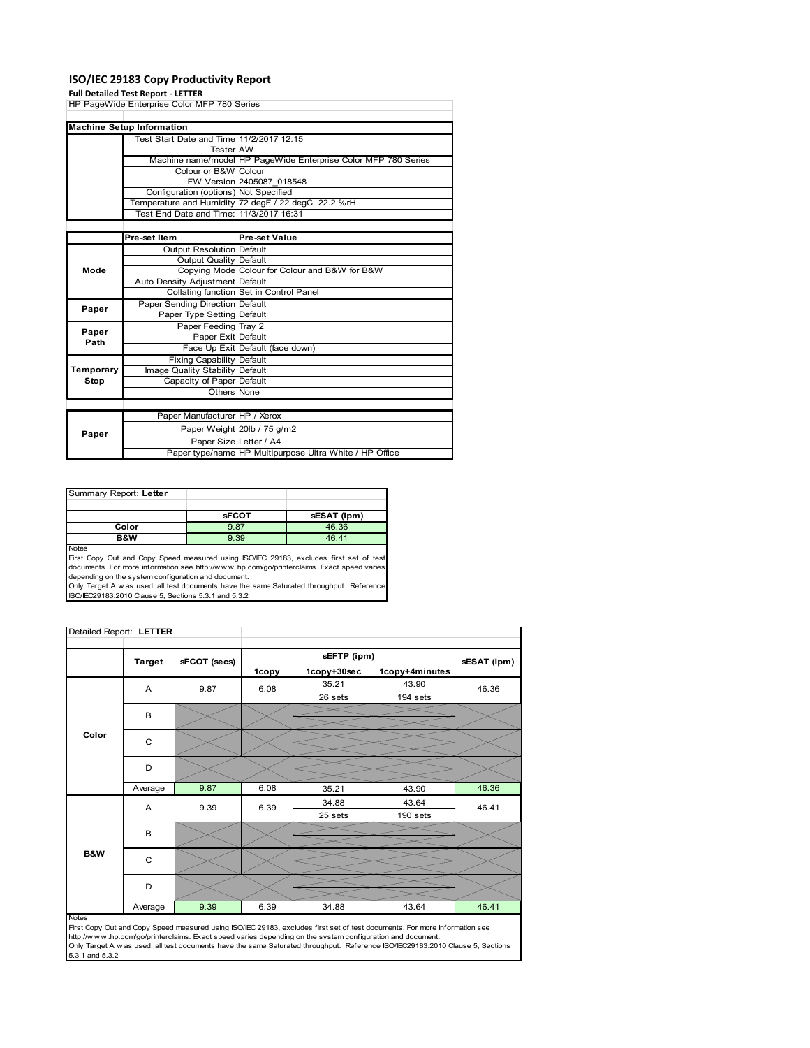### **ISO/IEC 29183 Copy Productivity Report**

#### **Full Detailed Test Report ‐ LETTER**

| HP PageWide Enterprise Color MFP 780 Series |                                          |                                                                |  |  |
|---------------------------------------------|------------------------------------------|----------------------------------------------------------------|--|--|
|                                             |                                          |                                                                |  |  |
|                                             | <b>Machine Setup Information</b>         |                                                                |  |  |
|                                             | Test Start Date and Time 11/2/2017 12:15 |                                                                |  |  |
|                                             | Tester AW                                |                                                                |  |  |
|                                             |                                          | Machine name/model HP PageWide Enterprise Color MFP 780 Series |  |  |
|                                             | Colour or B&W Colour                     |                                                                |  |  |
|                                             |                                          | FW Version 2405087 018548                                      |  |  |
|                                             | Configuration (options) Not Specified    |                                                                |  |  |
|                                             |                                          | Temperature and Humidity 72 degF / 22 degC 22.2 %rH            |  |  |
|                                             | Test End Date and Time: 11/3/2017 16:31  |                                                                |  |  |
|                                             |                                          |                                                                |  |  |
|                                             | Pre-set Item                             | Pre-set Value                                                  |  |  |
| Mode                                        | <b>Output Resolution Default</b>         |                                                                |  |  |
|                                             | <b>Output Quality Default</b>            |                                                                |  |  |
|                                             |                                          | Copying Mode Colour for Colour and B&W for B&W                 |  |  |
|                                             | Auto Density Adjustment Default          |                                                                |  |  |
|                                             |                                          | Collating function Set in Control Panel                        |  |  |
| Paper                                       | Paper Sending Direction Default          |                                                                |  |  |
|                                             | Paper Type Setting Default               |                                                                |  |  |
| Paper                                       | Paper Feeding Tray 2                     |                                                                |  |  |
| Path                                        | Paper Exit Default                       |                                                                |  |  |
|                                             |                                          | Face Up Exit Default (face down)                               |  |  |
|                                             | <b>Fixing Capability Default</b>         |                                                                |  |  |
| Temporary                                   | Image Quality Stability Default          |                                                                |  |  |
| Stop                                        | Capacity of Paper Default                |                                                                |  |  |
|                                             | Others None                              |                                                                |  |  |
|                                             |                                          |                                                                |  |  |
|                                             | Paper Manufacturer HP / Xerox            |                                                                |  |  |
| Paper                                       |                                          | Paper Weight 20lb / 75 g/m2                                    |  |  |
|                                             | Paper Size Letter / A4                   |                                                                |  |  |
|                                             |                                          | Paper type/name HP Multipurpose Ultra White / HP Office        |  |  |

Summary Report: **Letter sFCOT sESAT (ipm) Color 12.88 46.36<br>
<b>B&W** 9.39 46.41 **46.41** Notes

First Copy Out and Copy Speed measured using ISO/IEC 29183, excludes first set of test documents. For more information see http://w w w .hp.com/go/printerclaims. Exact speed varies

depending on the system configuration and document.<br>Only Target A w as used, all test documents have the same Saturated throughput. Reference<br>ISO/IEC29183:2010 Clause 5, Sections 5.3.1 and 5.3.2

| Detailed Report: LETTER |               |              |       |             |                |             |
|-------------------------|---------------|--------------|-------|-------------|----------------|-------------|
|                         | <b>Target</b> | sFCOT (secs) |       | sEFTP (ipm) |                | sESAT (ipm) |
|                         |               |              | 1copy | 1copy+30sec | 1copy+4minutes |             |
|                         | A             | 9.87         | 6.08  | 35.21       | 43.90          | 46.36       |
|                         |               |              |       | 26 sets     | 194 sets       |             |
|                         | B             |              |       |             |                |             |
|                         |               |              |       |             |                |             |
| Color                   | C             |              |       |             |                |             |
|                         |               |              |       |             |                |             |
|                         | D             |              |       |             |                |             |
|                         | Average       | 9.87         | 6.08  | 35.21       | 43.90          | 46.36       |
|                         | Α             | 9.39         | 6.39  | 34.88       | 43.64          | 46.41       |
|                         |               |              |       | 25 sets     | 190 sets       |             |
|                         | B             |              |       |             |                |             |
|                         |               |              |       |             |                |             |
| B&W                     | C             |              |       |             |                |             |
|                         |               |              |       |             |                |             |
|                         | D             |              |       |             |                |             |
|                         | Average       | 9.39         | 6.39  | 34.88       | 43.64          | 46.41       |

#### Notes

First Copy Out and Copy Speed measured using ISO/IEC 29183, excludes first set of test documents. For more information see<br>http://w w w.hp.com/go/printerclaims. Exact speed varies depending on the system configuration and 5.3.1 and 5.3.2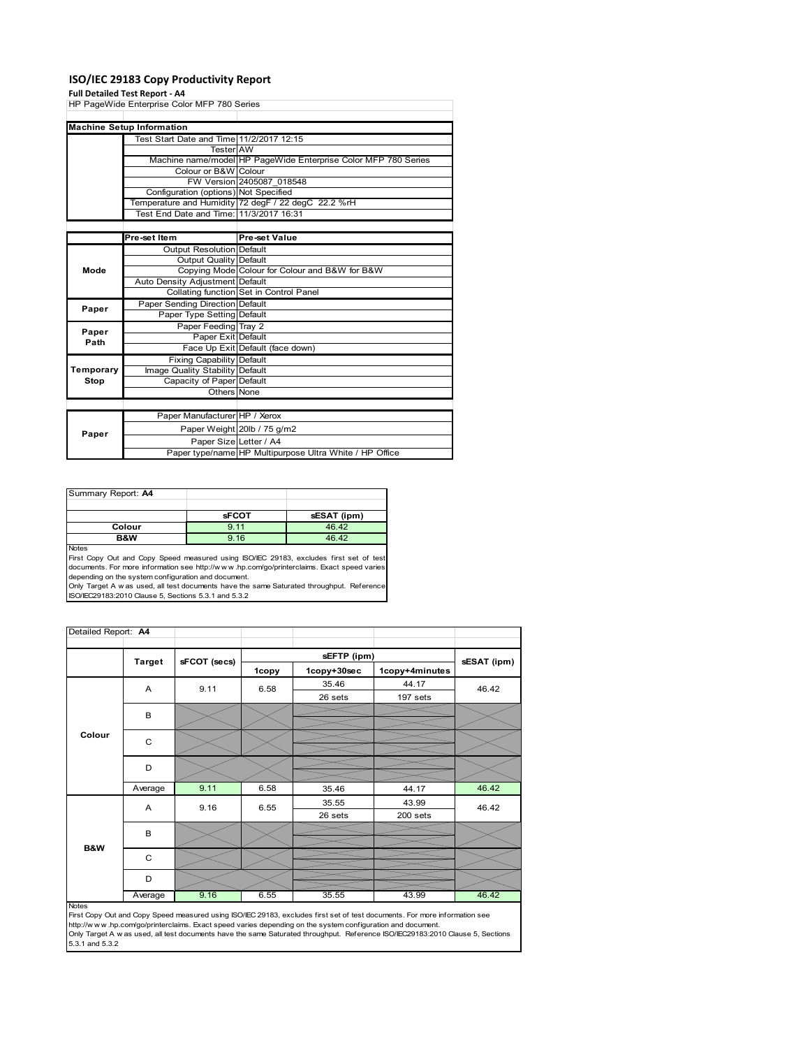### **ISO/IEC 29183 Copy Productivity Report**

### **Full Detailed Test Report ‐ A4**

|           | HP PageWide Enterprise Color MFP 780 Series |                                                                |  |
|-----------|---------------------------------------------|----------------------------------------------------------------|--|
|           |                                             |                                                                |  |
|           | <b>Machine Setup Information</b>            |                                                                |  |
|           | Test Start Date and Time 11/2/2017 12:15    |                                                                |  |
|           | <b>Tester</b> AW                            |                                                                |  |
|           |                                             | Machine name/model HP PageWide Enterprise Color MFP 780 Series |  |
|           | Colour or B&W Colour                        |                                                                |  |
|           |                                             | FW Version 2405087 018548                                      |  |
|           | Configuration (options) Not Specified       |                                                                |  |
|           |                                             | Temperature and Humidity 72 degF / 22 degC 22.2 %rH            |  |
|           | Test End Date and Time: 11/3/2017 16:31     |                                                                |  |
|           |                                             |                                                                |  |
|           | Pre-set Item                                | Pre-set Value                                                  |  |
|           | <b>Output Resolution Default</b>            |                                                                |  |
|           | Output Quality Default                      |                                                                |  |
| Mode      |                                             | Copying Mode Colour for Colour and B&W for B&W                 |  |
|           | Auto Density Adjustment Default             |                                                                |  |
|           |                                             | Collating function Set in Control Panel                        |  |
| Paper     | Paper Sending Direction Default             |                                                                |  |
|           | Paper Type Setting Default                  |                                                                |  |
| Paper     | Paper Feeding Tray 2                        |                                                                |  |
| Path      | Paper Exit Default                          |                                                                |  |
|           |                                             | Face Up Exit Default (face down)                               |  |
|           | <b>Fixing Capability Default</b>            |                                                                |  |
| Temporary | Image Quality Stability Default             |                                                                |  |
| Stop      | Capacity of Paper Default                   |                                                                |  |
|           | Others None                                 |                                                                |  |
|           |                                             |                                                                |  |
|           | Paper Manufacturer HP / Xerox               |                                                                |  |
|           |                                             | Paper Weight 20lb / 75 g/m2                                    |  |
| Paper     | Paper Size Letter / A4                      |                                                                |  |
|           |                                             | Paper type/name HP Multipurpose Ultra White / HP Office        |  |

| Summary Report: A4 |              |             |
|--------------------|--------------|-------------|
|                    |              |             |
|                    | <b>sFCOT</b> | sESAT (ipm) |
| Colour             | 9.11         | 46.42       |
| B&W                | 9.16         | 46.42       |
| .                  |              |             |

Notes<br>First Copy Out and Copy Speed measured using ISO/IEC 29183, excludes first set of test<br>documents. For more information see http://www..hp.com/go/printerclaims. Exact speed varies

depending on the system configuration and document.<br>Only Target A w as used, all test documents have the same Saturated throughput. Reference<br>ISO/IEC29183:2010 Clause 5, Sections 5.3.1 and 5.3.2

| Detailed Report: A4 |               |              |       |             |                |             |
|---------------------|---------------|--------------|-------|-------------|----------------|-------------|
|                     |               |              |       | sEFTP (ipm) |                |             |
|                     | <b>Target</b> | sFCOT (secs) | 1copy | 1copy+30sec | 1copy+4minutes | sESAT (ipm) |
|                     | A             | 9.11         | 6.58  | 35.46       | 44.17          | 46.42       |
|                     |               |              |       | 26 sets     | 197 sets       |             |
|                     | B             |              |       |             |                |             |
| Colour              |               |              |       |             |                |             |
|                     | $\mathsf{C}$  |              |       |             |                |             |
|                     |               |              |       |             |                |             |
|                     | D             |              |       |             |                |             |
|                     |               |              |       |             |                |             |
|                     | Average       | 9.11         | 6.58  | 35.46       | 44.17          | 46.42       |
|                     | A             | 9.16         | 6.55  | 35.55       | 43.99          | 46.42       |
|                     |               |              |       | 26 sets     | 200 sets       |             |
|                     | B             |              |       |             |                |             |
| <b>B&amp;W</b>      |               |              |       |             |                |             |
|                     | C             |              |       |             |                |             |
|                     |               |              |       |             |                |             |
|                     | D             |              |       |             |                |             |
|                     | Average       | 9.16         | 6.55  | 35.55       | 43.99          | 46.42       |

Average 46.42<br>
First Copy Out and Copy Speed measured using ISO/IEC 29183, excludes first set of test documents. For more information see<br>
First://www.hp.com/go/printerclaims. Exact speed varies depending on the system con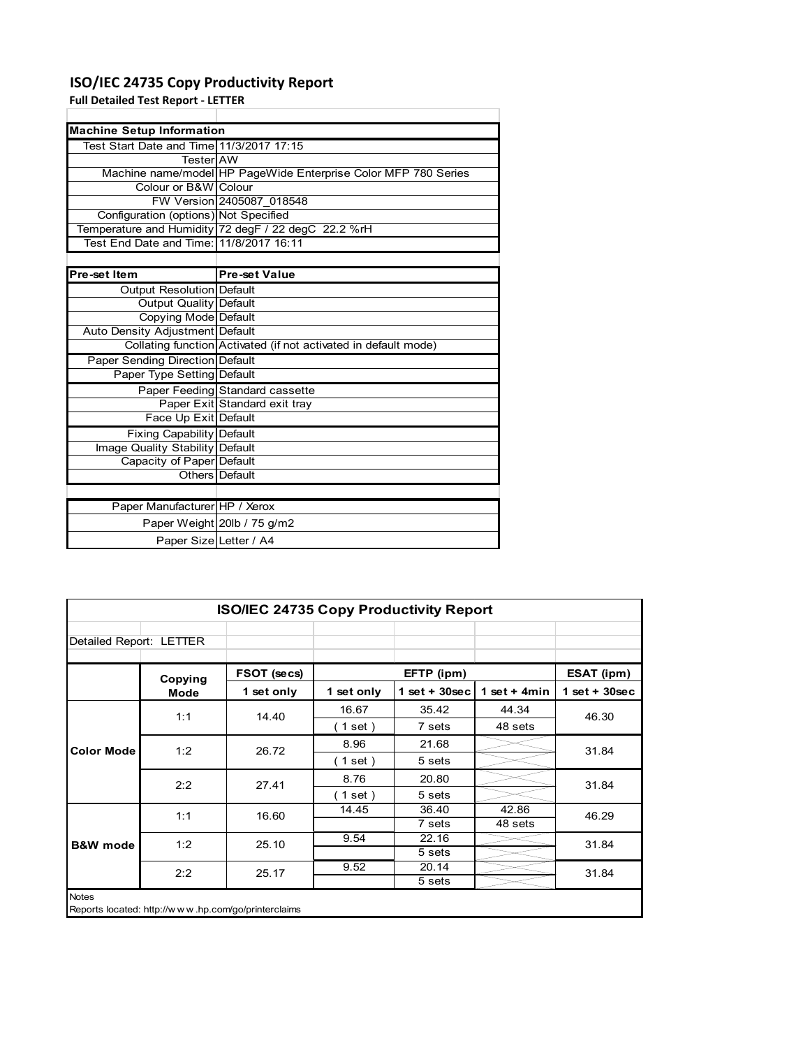### **ISO/IEC 24735 Copy Productivity Report**

Paper Weight 20lb / 75 g/m2 Paper Size Letter / A4

**Full Detailed Test Report ‐ LETTER**

| <b>Machine Setup Information</b>         |                                                                 |  |  |  |
|------------------------------------------|-----------------------------------------------------------------|--|--|--|
| Test Start Date and Time 11/3/2017 17:15 |                                                                 |  |  |  |
| TesterIAW                                |                                                                 |  |  |  |
|                                          | Machine name/model HP PageWide Enterprise Color MFP 780 Series  |  |  |  |
| Colour or B&W Colour                     |                                                                 |  |  |  |
|                                          | FW Version 2405087 018548                                       |  |  |  |
| Configuration (options) Not Specified    |                                                                 |  |  |  |
|                                          | Temperature and Humidity 72 degF / 22 degC 22.2 %rH             |  |  |  |
| Test End Date and Time: 11/8/2017 16:11  |                                                                 |  |  |  |
|                                          |                                                                 |  |  |  |
| Pre-set Item                             | <b>Pre-set Value</b>                                            |  |  |  |
| Output Resolution Default                |                                                                 |  |  |  |
| <b>Output Quality Default</b>            |                                                                 |  |  |  |
| Copying Mode Default                     |                                                                 |  |  |  |
| Auto Density Adjustment Default          |                                                                 |  |  |  |
|                                          | Collating function Activated (if not activated in default mode) |  |  |  |
| Paper Sending Direction Default          |                                                                 |  |  |  |
| Paper Type Setting Default               |                                                                 |  |  |  |
|                                          | Paper Feeding Standard cassette                                 |  |  |  |
|                                          | Paper Exit Standard exit tray                                   |  |  |  |
| Face Up Exit Default                     |                                                                 |  |  |  |
| Fixing Capability Default                |                                                                 |  |  |  |
| Image Quality Stability Default          |                                                                 |  |  |  |
| Capacity of Paper Default                |                                                                 |  |  |  |
|                                          | Others Default                                                  |  |  |  |
|                                          |                                                                 |  |  |  |
| Paper Manufacturer HP / Xerox            |                                                                 |  |  |  |

| <b>ISO/IEC 24735 Copy Productivity Report</b> |         |                                                     |                          |                 |                |                 |  |
|-----------------------------------------------|---------|-----------------------------------------------------|--------------------------|-----------------|----------------|-----------------|--|
| Detailed Report: LETTER                       |         |                                                     |                          |                 |                |                 |  |
|                                               | Copying | FSOT (secs)                                         |                          | EFTP (ipm)      |                | ESAT (ipm)      |  |
|                                               | Mode    | 1 set only                                          | 1 set only               | $1$ set + 30sec | 1 set $+$ 4min | $1$ set + 30sec |  |
|                                               | 1:1     | 14.40                                               | 16.67                    | 35.42           | 44.34          | 46.30           |  |
|                                               |         |                                                     | $\left( 1$ set $\right)$ | 7 sets          | 48 sets        |                 |  |
| <b>Color Mode</b>                             | 1:2     | 26.72                                               | 8.96                     | 21.68           |                | 31.84           |  |
|                                               |         |                                                     | (1 set )                 | 5 sets          |                |                 |  |
|                                               | 2:2     | 27.41                                               | 8.76                     | 20.80           |                | 31.84           |  |
|                                               |         |                                                     | 1 set)                   | 5 sets          |                |                 |  |
|                                               | 1:1     | 16.60                                               | 14.45                    | 36.40           | 42.86          | 46.29           |  |
|                                               |         |                                                     |                          | 7 sets          | 48 sets        |                 |  |
| <b>B&amp;W</b> mode                           | 1:2     | 25.10                                               | 9.54                     | 22.16           |                | 31.84           |  |
|                                               |         |                                                     |                          | 5 sets          |                |                 |  |
|                                               | 2:2     | 25.17                                               | 9.52                     | 20.14           |                | 31.84           |  |
|                                               |         |                                                     |                          | 5 sets          |                |                 |  |
| <b>Notes</b>                                  |         | Reports located: http://www.hp.com/go/printerclaims |                          |                 |                |                 |  |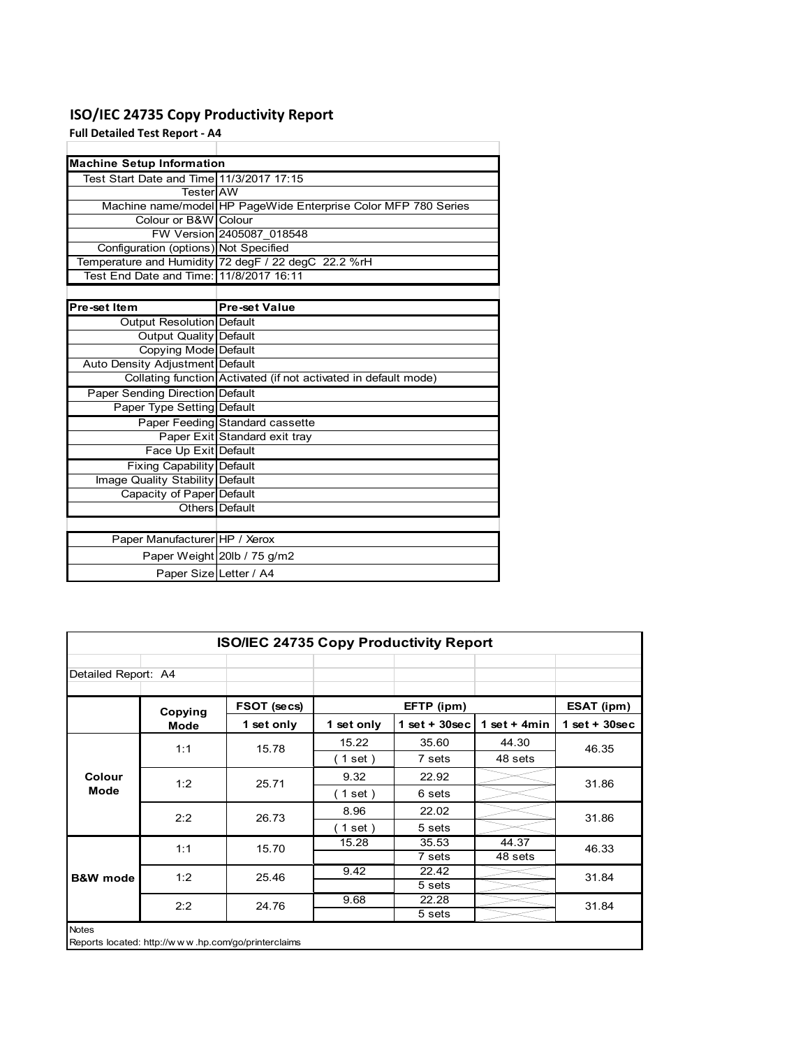### **ISO/IEC 24735 Copy Productivity Report**

**Full Detailed Test Report ‐ A4**

| <b>Machine Setup Information</b>         |                                                                 |
|------------------------------------------|-----------------------------------------------------------------|
| Test Start Date and Time 11/3/2017 17:15 |                                                                 |
| TesterIAW                                |                                                                 |
|                                          | Machine name/model HP PageWide Enterprise Color MFP 780 Series  |
| Colour or B&W Colour                     |                                                                 |
|                                          | FW Version 2405087 018548                                       |
| Configuration (options) Not Specified    |                                                                 |
|                                          | Temperature and Humidity 72 degF / 22 degC 22.2 %rH             |
| Test End Date and Time: 11/8/2017 16:11  |                                                                 |
|                                          |                                                                 |
| Pre-set Item                             | <b>Pre-set Value</b>                                            |
| Output Resolution Default                |                                                                 |
| <b>Output Quality Default</b>            |                                                                 |
| Copying Mode Default                     |                                                                 |
| Auto Density Adjustment Default          |                                                                 |
|                                          | Collating function Activated (if not activated in default mode) |
| <b>Paper Sending Direction Default</b>   |                                                                 |
| Paper Type Setting Default               |                                                                 |
|                                          | Paper Feeding Standard cassette                                 |
|                                          | Paper Exit Standard exit tray                                   |
| Face Up Exit Default                     |                                                                 |
| <b>Fixing Capability Default</b>         |                                                                 |
| Image Quality Stability Default          |                                                                 |
| Capacity of Paper Default                |                                                                 |
|                                          | Others Default                                                  |
|                                          |                                                                 |
| Paper Manufacturer HP / Xerox            |                                                                 |
|                                          | Paper Weight 20lb / 75 g/m2                                     |
| Paper Size Letter / A4                   |                                                                 |

|                     | <b>ISO/IEC 24735 Copy Productivity Report</b> |                                                     |            |                  |                |                 |  |  |
|---------------------|-----------------------------------------------|-----------------------------------------------------|------------|------------------|----------------|-----------------|--|--|
| Detailed Report: A4 |                                               |                                                     |            |                  |                |                 |  |  |
|                     | Copying                                       | FSOT (secs)                                         |            | EFTP (ipm)       |                | ESAT (ipm)      |  |  |
|                     | <b>Mode</b>                                   | 1 set only                                          | 1 set only | 1 set + $30$ sec | 1 set + $4min$ | $1$ set + 30sec |  |  |
|                     | 1:1                                           | 15.78                                               | 15.22      | 35.60            | 44.30          | 46.35           |  |  |
|                     |                                               |                                                     | (1 set)    | 7 sets           | 48 sets        |                 |  |  |
| Colour              | 1:2                                           | 25.71                                               | 9.32       | 22.92            |                | 31.86           |  |  |
| Mode                |                                               |                                                     | 1 set)     | 6 sets           |                |                 |  |  |
|                     | 2:2                                           | 26.73                                               | 8.96       | 22.02            |                | 31.86           |  |  |
|                     |                                               |                                                     | (1 set)    | 5 sets           |                |                 |  |  |
|                     | 1:1                                           | 15.70                                               | 15.28      | 35.53            | 44.37          | 46.33           |  |  |
|                     |                                               |                                                     |            | 7 sets           | 48 sets        |                 |  |  |
| <b>B&amp;W</b> mode | 1:2                                           | 25.46                                               | 9.42       | 22.42            |                | 31.84           |  |  |
|                     |                                               |                                                     |            | 5 sets           |                |                 |  |  |
|                     | 2:2                                           | 24.76                                               | 9.68       | 22.28            |                | 31.84           |  |  |
|                     |                                               |                                                     |            | 5 sets           |                |                 |  |  |
| <b>Notes</b>        |                                               | Reports located: http://www.hp.com/go/printerclaims |            |                  |                |                 |  |  |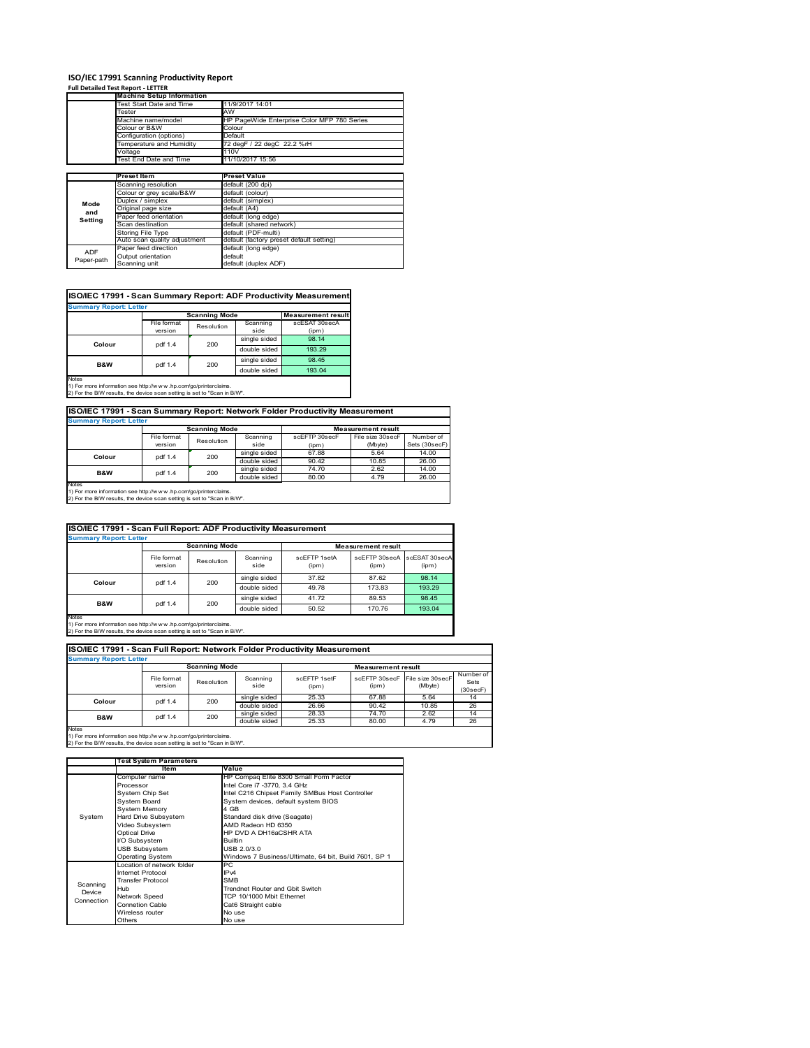# **ISO/IEC 17991 Scanning Productivity Report Full Detailed Test Report ‐ LETTER Machine Setup Information**

|            | <b>Machine Setup Information</b> |                                             |
|------------|----------------------------------|---------------------------------------------|
|            | Fest Start Date and Time         | 11/9/2017 14:01                             |
|            | Tester                           | AW                                          |
|            | Machine name/model               | HP PageWide Enterprise Color MFP 780 Series |
|            | Colour or B&W                    | Colour                                      |
|            | Configuration (options)          | Default                                     |
|            | Temperature and Humidity         | 72 degF / 22 degC 22.2 %rH                  |
|            | Voltage                          | 110V                                        |
|            | Test End Date and Time           | 11/10/2017 15:56                            |
|            |                                  |                                             |
|            | <b>Preset Item</b>               | <b>Preset Value</b>                         |
|            | Scanning resolution              | default (200 dpi)                           |
|            | Colour or grey scale/B&W         | default (colour)                            |
| Mode       | Duplex / simplex                 | default (simplex)                           |
| and        | Original page size               | default (A4)                                |
|            | Paper feed orientation           | default (long edge)                         |
| Setting    | Scan destination                 | default (shared network)                    |
|            | <b>Storing File Type</b>         | default (PDF-multi)                         |
|            | Auto scan quality adjustment     | default (factory preset default setting)    |
|            | Paper feed direction             | default (long edge)                         |
| <b>ADF</b> | Output orientation               | default                                     |
| Paper-path | Scanning unit                    | default (duplex ADF)                        |

| ISO/IEC 17991 - Scan Summary Report: ADF Productivity Measurement |             |                      |              |                           |  |  |  |
|-------------------------------------------------------------------|-------------|----------------------|--------------|---------------------------|--|--|--|
| <b>Summary Report: Letter</b>                                     |             |                      |              |                           |  |  |  |
|                                                                   |             | <b>Scanning Mode</b> |              | <b>Measurement result</b> |  |  |  |
|                                                                   | File format | Resolution           | Scanning     | scESAT 30secA             |  |  |  |
|                                                                   | version     |                      | side         | (ipm)                     |  |  |  |
| Colour                                                            | pdf 1.4     | 200                  | single sided | 98.14                     |  |  |  |
|                                                                   |             |                      | double sided | 193.29                    |  |  |  |
| B&W                                                               | pdf 1.4     | 200                  | single sided | 98.45                     |  |  |  |
|                                                                   |             |                      | double sided | 193.04                    |  |  |  |
| <b>Notes</b>                                                      |             |                      |              |                           |  |  |  |

Notes 1) For more information see http://w w w .hp.com/go/printerclaims. 2) For the B/W results, the device scan setting is set to "Scan in B/W".

**ISO/IEC 17991 - Scan Summary Report: Network Folder Productivity Measurement**

| <b>Summary Report: Letter</b> |             |                      |              |                           |                  |               |
|-------------------------------|-------------|----------------------|--------------|---------------------------|------------------|---------------|
|                               |             | <b>Scanning Mode</b> |              | <b>Measurement result</b> |                  |               |
|                               | File format | Resolution           | Scanning     | scEFTP 30secF             | File size 30secF | Number of     |
|                               | version     |                      | side         | (ipm)                     | (Mbyte)          | Sets (30secF) |
| Colour                        | pdf 1.4     | 200                  | single sided | 67.88                     | 5.64             | 14.00         |
|                               |             |                      | double sided | 90.42                     | 10.85            | 26.00         |
| B&W                           | pdf 1.4     | 200                  | single sided | 74.70                     | 2.62             | 14.00         |
|                               |             |                      | double sided | 80.00                     | 4.79             | 26.00         |
| Notes                         |             |                      |              |                           |                  |               |

┓

Notes 1) For more information see http://w w w .hp.com/go/printerclaims. 2) For the B/W results, the device scan setting is set to "Scan in B/W".

| ISO/IEC 17991 - Scan Full Report: ADF Productivity Measurement |                               |                      |                  |                       |                           |                        |  |  |
|----------------------------------------------------------------|-------------------------------|----------------------|------------------|-----------------------|---------------------------|------------------------|--|--|
|                                                                | <b>Summary Report: Letter</b> |                      |                  |                       |                           |                        |  |  |
|                                                                |                               | <b>Scanning Mode</b> |                  |                       | <b>Measurement result</b> |                        |  |  |
|                                                                | File format<br>version        | Resolution           | Scanning<br>side | scFFTP 1setA<br>(ipm) | scEFTP 30secA<br>(ipm)    | scESAT 30secA<br>(ipm) |  |  |
|                                                                | pdf 1.4                       | 200                  | single sided     | 37.82                 | 87.62                     | 98.14                  |  |  |
| Colour                                                         |                               |                      | double sided     | 49.78                 | 173.83                    | 193.29                 |  |  |
| <b>B&amp;W</b>                                                 | pdf 1.4                       | 200                  | single sided     | 41.72                 | 89.53                     | 98.45                  |  |  |
|                                                                |                               |                      | double sided     | 50.52                 | 170.76                    | 193.04                 |  |  |
| <b>Notes</b>                                                   |                               |                      |                  |                       |                           |                        |  |  |

Notes 1) For more information see http://w w w .hp.com/go/printerclaims. 2) For the B/W results, the device scan setting is set to "Scan in B/W".

| ISO/IEC 17991 - Scan Full Report: Network Folder Productivity Measurement |                                                   |            |                  |                       |       |                                           |                               |  |  |
|---------------------------------------------------------------------------|---------------------------------------------------|------------|------------------|-----------------------|-------|-------------------------------------------|-------------------------------|--|--|
| <b>Summary Report: Letter</b>                                             |                                                   |            |                  |                       |       |                                           |                               |  |  |
|                                                                           | <b>Scanning Mode</b><br><b>Measurement result</b> |            |                  |                       |       |                                           |                               |  |  |
|                                                                           | File format<br>version                            | Resolution | Scanning<br>side | scEETP 1setE<br>(ipm) | (ipm) | scEFTP 30secF File size 30secF<br>(Mbyte) | Number of<br>Sets<br>(30secF) |  |  |
| Colour                                                                    | pdf 1.4                                           | 200        | single sided     | 25.33                 | 67.88 | 5.64                                      | 14                            |  |  |
|                                                                           |                                                   |            | double sided     | 26.66                 | 90.42 | 10.85                                     | 26                            |  |  |
| <b>B&amp;W</b>                                                            | pdf 1.4                                           | 200        | single sided     | 28.33                 | 74.70 | 2.62                                      | 14                            |  |  |
|                                                                           |                                                   |            | double sided     | 25.33                 | 80.00 | 4.79                                      | 26                            |  |  |
| <b>Notes</b>                                                              |                                                   |            |                  |                       |       |                                           |                               |  |  |

|            | <b>Test System Parameters</b> |                                                       |  |  |  |
|------------|-------------------------------|-------------------------------------------------------|--|--|--|
|            | Item                          | Value                                                 |  |  |  |
|            | Computer name                 | HP Compaq Elite 8300 Small Form Factor                |  |  |  |
|            | Processor                     | Intel Core i7 -3770, 3.4 GHz                          |  |  |  |
|            | System Chip Set               | Intel C216 Chipset Family SMBus Host Controller       |  |  |  |
|            | <b>System Board</b>           | System devices, default system BIOS                   |  |  |  |
|            | <b>System Memory</b>          | 4 GB                                                  |  |  |  |
| System     | Hard Drive Subsystem          | Standard disk drive (Seagate)                         |  |  |  |
|            | Video Subsystem               | AMD Radeon HD 6350                                    |  |  |  |
|            | <b>Optical Drive</b>          | HP DVD A DH16aCSHR ATA                                |  |  |  |
|            | I/O Subsystem                 | <b>Builtin</b>                                        |  |  |  |
|            | <b>USB Subsystem</b>          | USB 2.0/3.0                                           |  |  |  |
|            | <b>Operating System</b>       | Windows 7 Business/Ultimate, 64 bit, Build 7601, SP 1 |  |  |  |
|            | I ocation of network folder   | PC.                                                   |  |  |  |
|            | Internet Protocol             | IP <sub>v4</sub>                                      |  |  |  |
| Scanning   | <b>Transfer Protocol</b>      | <b>SMB</b>                                            |  |  |  |
| Device     | Hub                           | Trendnet Router and Gbit Switch                       |  |  |  |
| Connection | Network Speed                 | TCP 10/1000 Mbit Ethernet                             |  |  |  |
|            | <b>Connetion Cable</b>        | Cat6 Straight cable                                   |  |  |  |
|            | Wireless router               | No use                                                |  |  |  |
|            | Others                        | No use                                                |  |  |  |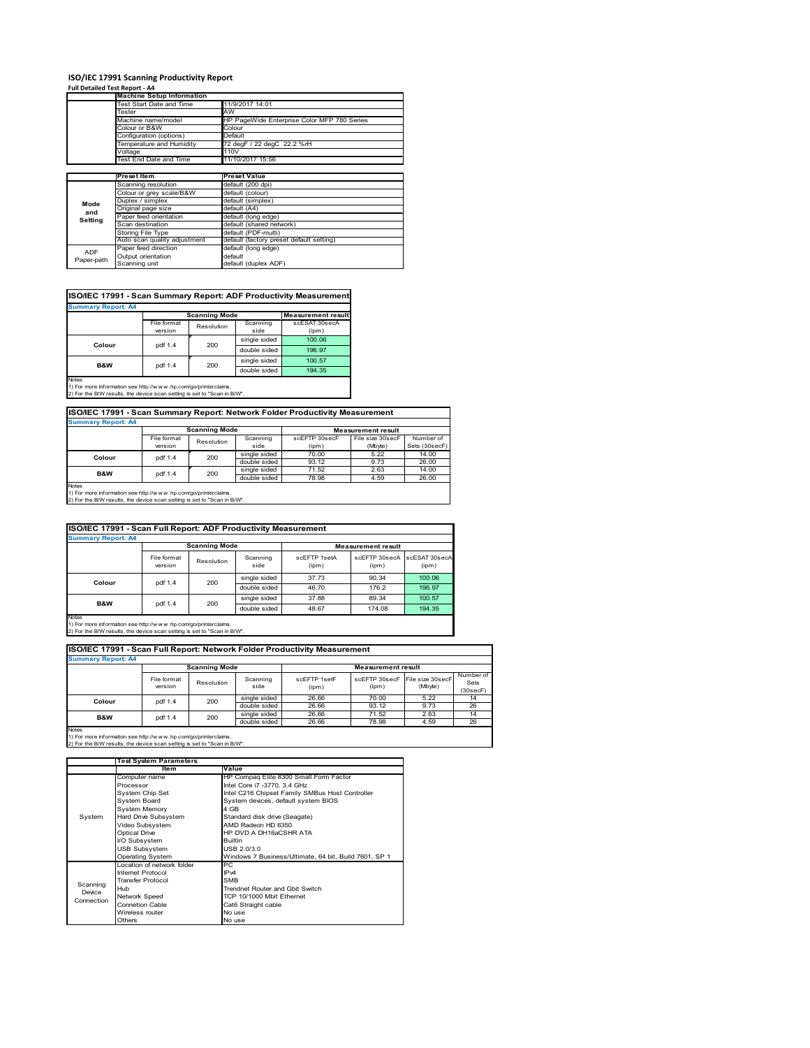# **ISO/IEC 17991 Scanning Productivity Report Full Detailed Test Report ‐ A4 Machine Setup Information**

|            | <b>Machine Setup Information</b> |                                             |
|------------|----------------------------------|---------------------------------------------|
|            | Test Start Date and Time         | 11/9/2017 14:01                             |
|            | Tester                           | AW                                          |
|            | Machine name/model               | HP PageWide Enterprise Color MFP 780 Series |
|            | Colour or B&W                    | Colour                                      |
|            | Configuration (options)          | Default                                     |
|            | Temperature and Humidity         | 72 degF / 22 degC 22.2 %rH                  |
|            | Voltage                          | 110V                                        |
|            | Test End Date and Time           | 11/10/2017 15:56                            |
|            |                                  |                                             |
|            | Preset Item                      | <b>Preset Value</b>                         |
|            | Scanning resolution              | default (200 dpi)                           |
|            | Colour or grey scale/B&W         | default (colour)                            |
| Mode       | Duplex / simplex                 | default (simplex)                           |
| and        | Original page size               | default (A4)                                |
| Setting    | Paper feed orientation           | default (long edge)                         |
|            | Scan destination                 | default (shared network)                    |
|            | <b>Storing File Type</b>         | default (PDF-multi)                         |
|            | Auto scan quality adjustment     | default (factory preset default setting)    |
| <b>ADF</b> | Paper feed direction             | default (long edge)                         |
|            | Output orientation               | default                                     |
| Paper-path | Scanning unit                    | default (duplex ADF)                        |

| ISO/IEC 17991 - Scan Summary Report: ADF Productivity Measurement |             |                      |              |                           |  |  |  |  |
|-------------------------------------------------------------------|-------------|----------------------|--------------|---------------------------|--|--|--|--|
| <b>Summary Report: A4</b>                                         |             |                      |              |                           |  |  |  |  |
|                                                                   |             | <b>Scanning Mode</b> |              | <b>Measurement result</b> |  |  |  |  |
|                                                                   | File format | Resolution           | Scanning     | scESAT 30secA             |  |  |  |  |
|                                                                   | version     |                      | side         | (ipm)                     |  |  |  |  |
| Colour                                                            | pdf 1.4     | 200                  | single sided | 100.06                    |  |  |  |  |
|                                                                   |             |                      | double sided | 196.97                    |  |  |  |  |
| <b>B&amp;W</b>                                                    | pdf 1.4     | 200                  | single sided | 100.57                    |  |  |  |  |
|                                                                   |             |                      | double sided | 194.35                    |  |  |  |  |
| Notes                                                             |             |                      |              |                           |  |  |  |  |

Notes 1) For more information see http://w w w .hp.com/go/printerclaims. 2) For the B/W results, the device scan setting is set to "Scan in B/W".

| ISO/IEC 17991 - Scan Summary Report: Network Folder Productivity Measurement |             |                      |              |               |                           |               |  |
|------------------------------------------------------------------------------|-------------|----------------------|--------------|---------------|---------------------------|---------------|--|
| <b>Summary Report: A4</b>                                                    |             |                      |              |               |                           |               |  |
|                                                                              |             | <b>Scanning Mode</b> |              |               | <b>Measurement result</b> |               |  |
|                                                                              | File format | Resolution           | Scanning     | scEFTP 30secF | File size 30secF          | Number of     |  |
|                                                                              | version     |                      | side         | (ipm)         | (Mbyte)                   | Sets (30secF) |  |
| Colour                                                                       | pdf 1.4     | 200                  | single sided | 70.00         | 5.22                      | 14.00         |  |
|                                                                              |             |                      | double sided | 93.12         | 9.73                      | 26.00         |  |
| <b>B&amp;W</b>                                                               | pdf 1.4     | 200                  | single sided | 71.52         | 2.63                      | 14.00         |  |
|                                                                              |             |                      | double sided | 78.98         | 4.59                      | 26.00         |  |

Notes 1) For more information see http://w w w .hp.com/go/printerclaims. 2) For the B/W results, the device scan setting is set to "Scan in B/W".

| ISO/IEC 17991 - Scan Full Report: ADF Productivity Measurement                                                                                            |                        |                      |                  |                       |                           |                        |  |  |
|-----------------------------------------------------------------------------------------------------------------------------------------------------------|------------------------|----------------------|------------------|-----------------------|---------------------------|------------------------|--|--|
| <b>Summary Report: A4</b>                                                                                                                                 |                        |                      |                  |                       |                           |                        |  |  |
|                                                                                                                                                           |                        | <b>Scanning Mode</b> |                  |                       | <b>Measurement result</b> |                        |  |  |
|                                                                                                                                                           | File format<br>version | Resolution           | Scanning<br>side | scFFTP 1setA<br>(ipm) | scEFTP 30secA<br>(ipm)    | scESAT 30secA<br>(ipm) |  |  |
|                                                                                                                                                           | pdf 1.4                | 200                  | single sided     | 37.73                 | 90.34                     | 100.06                 |  |  |
| Colour                                                                                                                                                    |                        |                      | double sided     | 46.70                 | 176.2                     | 196.97                 |  |  |
| <b>B&amp;W</b>                                                                                                                                            |                        |                      | single sided     | 37.88                 | 89.34                     | 100.57                 |  |  |
|                                                                                                                                                           | pdf 1.4                | 200                  | double sided     | 48.67                 | 174.08                    | 194.35                 |  |  |
| <b>Notes</b><br>1) For more information see http://www.hp.com/go/printerclaims.<br>3) Eas the DAM seculta the device coop cotting in ont to "Coop in DAA" |                        |                      |                  |                       |                           |                        |  |  |

Notes 1) For more information see http://w w w .hp.com/go/printerclaims. 2) For the B/W results, the device scan setting is set to "Scan in B/W".

| ISO/IEC 17991 - Scan Full Report: Network Folder Productivity Measurement |                        |            |                  |                       |                           |                             |                               |  |  |  |
|---------------------------------------------------------------------------|------------------------|------------|------------------|-----------------------|---------------------------|-----------------------------|-------------------------------|--|--|--|
| <b>Summary Report: A4</b>                                                 |                        |            |                  |                       |                           |                             |                               |  |  |  |
| <b>Scanning Mode</b>                                                      |                        |            |                  |                       | <b>Measurement result</b> |                             |                               |  |  |  |
|                                                                           | File format<br>version | Resolution | Scanning<br>side | scEFTP 1setF<br>(ipm) | scEFTP 30secF<br>(ipm)    | File size 30secF<br>(Mbyte) | Number of<br>Sets<br>(30secF) |  |  |  |
| Colour                                                                    | pdf 1.4                | 200        | single sided     | 26.66                 | 70.00                     | 5.22                        | 14                            |  |  |  |
|                                                                           |                        |            | double sided     | 26.66                 | 93.12                     | 9.73                        | 26                            |  |  |  |
| <b>B&amp;W</b>                                                            | pdf 1.4                | 200        | single sided     | 26.66                 | 71.52                     | 2.63                        | 14                            |  |  |  |
|                                                                           |                        |            | double sided     | 26.66                 | 78.98                     | 4.59                        | 26                            |  |  |  |
| <b>Notes</b>                                                              |                        |            |                  |                       |                           |                             |                               |  |  |  |

|            | <b>Test System Parameters</b> |                                                       |  |  |  |
|------------|-------------------------------|-------------------------------------------------------|--|--|--|
|            | <b>Item</b>                   | Value                                                 |  |  |  |
|            | Computer name                 | HP Compaq Elite 8300 Small Form Factor                |  |  |  |
|            | Processor                     | Intel Core i7 -3770, 3.4 GHz                          |  |  |  |
|            | System Chip Set               | Intel C216 Chipset Family SMBus Host Controller       |  |  |  |
|            | <b>System Board</b>           | System devices, default system BIOS                   |  |  |  |
|            | <b>System Memory</b>          | 4 GB                                                  |  |  |  |
| System     | Hard Drive Subsystem          | Standard disk drive (Seagate)                         |  |  |  |
|            | Video Subsystem               | AMD Radeon HD 6350                                    |  |  |  |
|            | <b>Optical Drive</b>          | HP DVD A DH16aCSHR ATA                                |  |  |  |
|            | I/O Subsystem                 | <b>Builtin</b>                                        |  |  |  |
|            | <b>USB Subsystem</b>          | USB 2.0/3.0                                           |  |  |  |
|            | <b>Operating System</b>       | Windows 7 Business/Ultimate, 64 bit, Build 7601, SP 1 |  |  |  |
|            | I ocation of network folder   | PC.                                                   |  |  |  |
|            | Internet Protocol             | IP <sub>v4</sub>                                      |  |  |  |
| Scanning   | <b>Transfer Protocol</b>      | <b>SMB</b>                                            |  |  |  |
| Device     | Hub                           | Trendnet Router and Gbit Switch                       |  |  |  |
| Connection | Network Speed                 | TCP 10/1000 Mbit Ethernet                             |  |  |  |
|            | <b>Connetion Cable</b>        | Cat6 Straight cable                                   |  |  |  |
|            | Wireless router               | No use                                                |  |  |  |
|            | Others                        | No use                                                |  |  |  |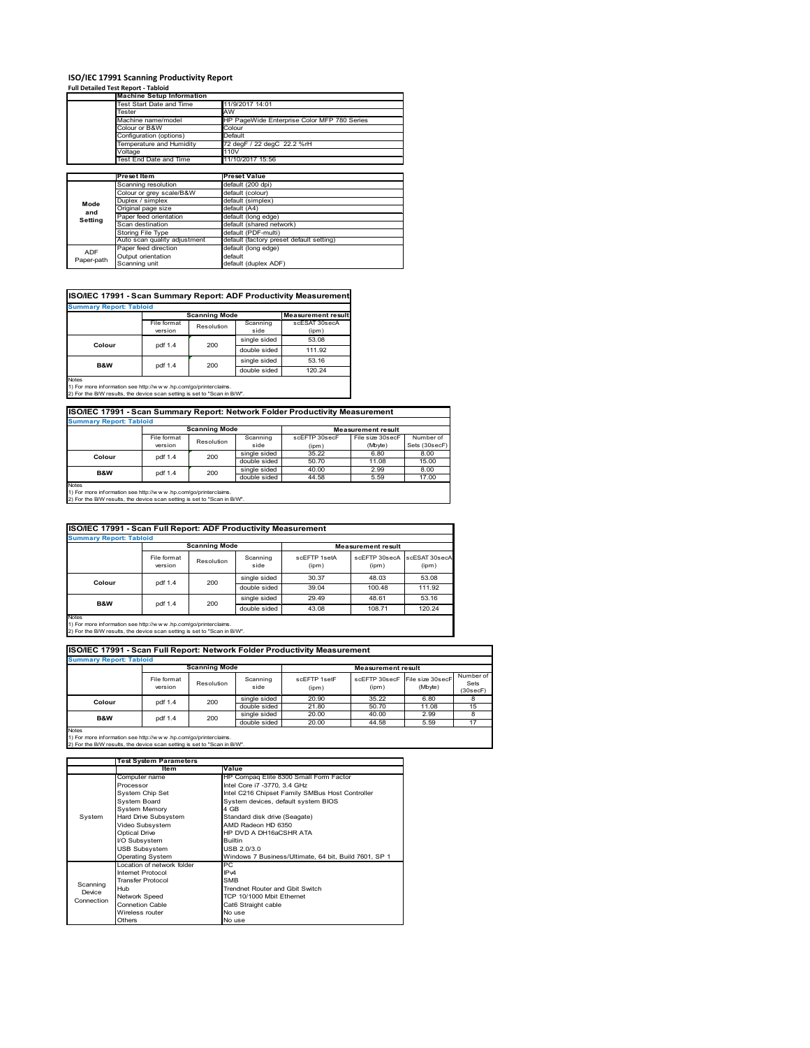# **ISO/IEC 17991 Scanning Productivity Report Full Detailed Test Report ‐ Tabloid Machine Setup Information**

|            | <b>Machine Setup Information</b> |                                             |  |  |  |  |
|------------|----------------------------------|---------------------------------------------|--|--|--|--|
|            | Test Start Date and Time         | 11/9/2017 14:01                             |  |  |  |  |
|            | Tester                           | AW                                          |  |  |  |  |
|            | Machine name/model               | HP PageWide Enterprise Color MFP 780 Series |  |  |  |  |
|            | Colour or B&W                    | Colour                                      |  |  |  |  |
|            | Configuration (options)          | Default                                     |  |  |  |  |
|            | Temperature and Humidity         | 72 degF / 22 degC 22.2 %rH                  |  |  |  |  |
|            | Voltage                          | 110V                                        |  |  |  |  |
|            | Test End Date and Time           | 11/10/2017 15:56                            |  |  |  |  |
|            |                                  |                                             |  |  |  |  |
|            | Preset Item                      | <b>Preset Value</b>                         |  |  |  |  |
|            | Scanning resolution              | default (200 dpi)                           |  |  |  |  |
|            | Colour or grey scale/B&W         | default (colour)                            |  |  |  |  |
| Mode       | Duplex / simplex                 | default (simplex)                           |  |  |  |  |
|            | Original page size               | default (A4)                                |  |  |  |  |
| and        | Paper feed orientation           | default (long edge)                         |  |  |  |  |
| Setting    | Scan destination                 | default (shared network)                    |  |  |  |  |
|            | <b>Storing File Type</b>         | default (PDF-multi)                         |  |  |  |  |
|            | Auto scan quality adjustment     | default (factory preset default setting)    |  |  |  |  |
| <b>ADF</b> | Paper feed direction             | default (long edge)                         |  |  |  |  |
|            | Output orientation               | default                                     |  |  |  |  |
| Paper-path | Scanning unit                    | default (duplex ADF)                        |  |  |  |  |

|             | <b>Scanning Mode</b> |                          |                           |
|-------------|----------------------|--------------------------|---------------------------|
|             |                      |                          | <b>Measurement result</b> |
| File format |                      | Scanning                 | scESAT 30secA             |
| version     |                      | side                     | (ipm)                     |
|             |                      | single sided             | 53.08                     |
|             |                      | double sided             | 111.92                    |
|             |                      | single sided             | 53.16                     |
|             |                      | double sided             | 120.24                    |
|             | pdf 1.4<br>pdf 1.4   | Resolution<br>200<br>200 |                           |

1) For more information see http://w w w .hp.com/go/printerclaims. 2) For the B/W results, the device scan setting is set to "Scan in B/W".

| ISO/IEC 17991 - Scan Summary Report: Network Folder Productivity Measurement |                                                   |            |              |               |                  |               |  |  |
|------------------------------------------------------------------------------|---------------------------------------------------|------------|--------------|---------------|------------------|---------------|--|--|
| <b>Summary Report: Tabloid</b>                                               |                                                   |            |              |               |                  |               |  |  |
|                                                                              | <b>Scanning Mode</b><br><b>Measurement result</b> |            |              |               |                  |               |  |  |
|                                                                              | File format                                       | Resolution | Scanning     | scEFTP 30secF | File size 30secF | Number of     |  |  |
|                                                                              | version                                           |            | side         | (ipm)         | (Mbyte)          | Sets (30secF) |  |  |
| Colour                                                                       | pdf 1.4                                           | 200        | single sided | 35.22         | 6.80             | 8.00          |  |  |
|                                                                              |                                                   |            | double sided | 50.70         | 11.08            | 15.00         |  |  |
| <b>B&amp;W</b>                                                               | pdf 1.4                                           | 200        | single sided | 40.00         | 2.99             | 8.00          |  |  |
|                                                                              |                                                   |            | double sided | 44.58         | 5.59             | 17.00         |  |  |
| Notee                                                                        |                                                   |            |              |               |                  |               |  |  |

Notes 1) For more information see http://w w w .hp.com/go/printerclaims. 2) For the B/W results, the device scan setting is set to "Scan in B/W".

| ISO/IEC 17991 - Scan Full Report: ADF Productivity Measurement                                                                                              |                        |                      |                  |                           |                        |                        |  |  |
|-------------------------------------------------------------------------------------------------------------------------------------------------------------|------------------------|----------------------|------------------|---------------------------|------------------------|------------------------|--|--|
| <b>Summary Report: Tabloid</b>                                                                                                                              |                        |                      |                  |                           |                        |                        |  |  |
|                                                                                                                                                             |                        | <b>Scanning Mode</b> |                  | <b>Measurement result</b> |                        |                        |  |  |
|                                                                                                                                                             | File format<br>version | Resolution           | Scanning<br>side | scFFTP 1setA<br>(ipm)     | scEETP 30secA<br>(ipm) | scESAT 30secA<br>(ipm) |  |  |
|                                                                                                                                                             | pdf 1.4                | 200                  | single sided     | 30.37                     | 48.03                  | 53.08                  |  |  |
| Colour                                                                                                                                                      |                        |                      | double sided     | 39.04                     | 100.48                 | 111.92                 |  |  |
|                                                                                                                                                             |                        | 200                  | single sided     | 29.49                     | 48.61                  | 53.16                  |  |  |
| B&W                                                                                                                                                         | pdf 1.4                |                      | double sided     | 43.08                     | 108.71                 | 120.24                 |  |  |
| <b>Notes</b><br>1) For more information see http://www.hp.com/go/printerclaims.<br>2) For the B/W results, the device scan setting is set to "Scan in B/W". |                        |                      |                  |                           |                        |                        |  |  |

| ISO/IEC 17991 - Scan Full Report: Network Folder Productivity Measurement |                        |                      |                  |                       |                           |                                           |                               |  |  |
|---------------------------------------------------------------------------|------------------------|----------------------|------------------|-----------------------|---------------------------|-------------------------------------------|-------------------------------|--|--|
| <b>Summary Report: Tabloid</b>                                            |                        |                      |                  |                       |                           |                                           |                               |  |  |
|                                                                           |                        | <b>Scanning Mode</b> |                  |                       | <b>Measurement result</b> |                                           |                               |  |  |
|                                                                           | File format<br>version | Resolution           | Scanning<br>side | scEFTP 1setF<br>(ipm) | (ipm)                     | scEFTP 30secF File size 30secF<br>(Mbyte) | Number of<br>Sets<br>(30secF) |  |  |
| Colour                                                                    | pdf 1.4                | 200                  | single sided     | 20.90                 | 35.22                     | 6.80                                      |                               |  |  |
|                                                                           |                        |                      | double sided     | 21.80                 | 50.70                     | 11.08                                     | 15                            |  |  |
| <b>B&amp;W</b>                                                            | pdf 1.4                | 200                  | single sided     | 20.00                 | 40.00                     | 2.99                                      |                               |  |  |
|                                                                           |                        |                      | double sided     | 20.00                 | 44.58                     | 5.59                                      | 17                            |  |  |
| <b>Notes</b>                                                              |                        |                      |                  |                       |                           |                                           |                               |  |  |

|            | <b>Test System Parameters</b> |                                                       |  |  |  |
|------------|-------------------------------|-------------------------------------------------------|--|--|--|
|            | Item                          | Value                                                 |  |  |  |
|            | Computer name                 | HP Compaq Elite 8300 Small Form Factor                |  |  |  |
|            | Processor                     | Intel Core i7 -3770, 3.4 GHz                          |  |  |  |
|            | System Chip Set               | Intel C216 Chipset Family SMBus Host Controller       |  |  |  |
|            | <b>System Board</b>           | System devices, default system BIOS                   |  |  |  |
|            | <b>System Memory</b>          | 4 GB                                                  |  |  |  |
| System     | Hard Drive Subsystem          | Standard disk drive (Seagate)                         |  |  |  |
|            | Video Subsystem               | AMD Radeon HD 6350                                    |  |  |  |
|            | Optical Drive                 | HP DVD A DH16aCSHR ATA                                |  |  |  |
|            | I/O Subsystem                 | <b>Builtin</b>                                        |  |  |  |
|            | <b>USB Subsystem</b>          | USB 2.0/3.0                                           |  |  |  |
|            | <b>Operating System</b>       | Windows 7 Business/Ultimate, 64 bit, Build 7601, SP 1 |  |  |  |
|            | I ocation of network folder   | PC.                                                   |  |  |  |
|            | Internet Protocol             | IP <sub>v4</sub>                                      |  |  |  |
| Scanning   | <b>Transfer Protocol</b>      | <b>SMB</b>                                            |  |  |  |
| Device     | Hub                           | Trendnet Router and Gbit Switch                       |  |  |  |
| Connection | Network Speed                 | TCP 10/1000 Mbit Ethernet                             |  |  |  |
|            | Connetion Cable               | Cat6 Straight cable                                   |  |  |  |
|            | Wireless router               | No use                                                |  |  |  |
|            | Others                        | No use                                                |  |  |  |